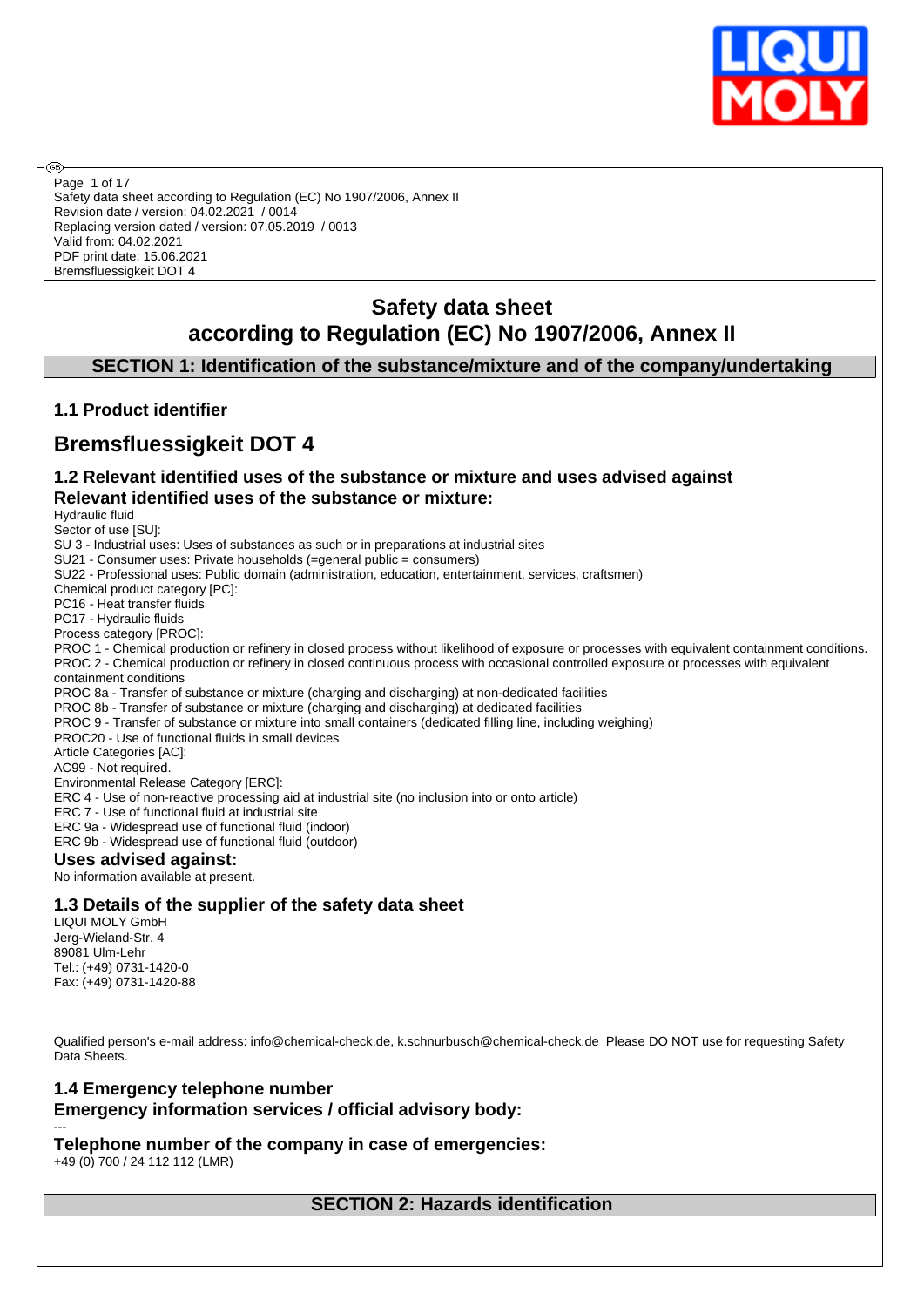

Safety data sheet according to Regulation (EC) No 1907/2006, Annex II Revision date / version: 04.02.2021 / 0014 Replacing version dated / version: 07.05.2019 / 0013 Valid from: 04.02.2021 PDF print date: 15.06.2021 Bremsfluessigkeit DOT 4 Page 1 of 17

# **Safety data sheet according to Regulation (EC) No 1907/2006, Annex II**

**SECTION 1: Identification of the substance/mixture and of the company/undertaking**

# **1.1 Product identifier**

# **Bremsfluessigkeit DOT 4**

# **1.2 Relevant identified uses of the substance or mixture and uses advised against Relevant identified uses of the substance or mixture:**

Hydraulic fluid

അ

Sector of use [SU]: SU 3 - Industrial uses: Uses of substances as such or in preparations at industrial sites SU21 - Consumer uses: Private households (=general public = consumers) SU22 - Professional uses: Public domain (administration, education, entertainment, services, craftsmen) Chemical product category [PC]: PC16 - Heat transfer fluids PC17 - Hydraulic fluids Process category [PROC]: PROC 1 - Chemical production or refinery in closed process without likelihood of exposure or processes with equivalent containment conditions. PROC 2 - Chemical production or refinery in closed continuous process with occasional controlled exposure or processes with equivalent containment conditions PROC 8a - Transfer of substance or mixture (charging and discharging) at non-dedicated facilities PROC 8b - Transfer of substance or mixture (charging and discharging) at dedicated facilities PROC 9 - Transfer of substance or mixture into small containers (dedicated filling line, including weighing) PROC20 - Use of functional fluids in small devices Article Categories [AC]: AC99 - Not required. Environmental Release Category [ERC]: ERC 4 - Use of non-reactive processing aid at industrial site (no inclusion into or onto article) ERC 7 - Use of functional fluid at industrial site ERC 9a - Widespread use of functional fluid (indoor) ERC 9b - Widespread use of functional fluid (outdoor) **Uses advised against:** No information available at present.

# **1.3 Details of the supplier of the safety data sheet**

LIQUI MOLY GmbH Jerg-Wieland-Str. 4 89081 Ulm-Lehr Tel.: (+49) 0731-1420-0 Fax: (+49) 0731-1420-88

Qualified person's e-mail address: info@chemical-check.de, k.schnurbusch@chemical-check.de Please DO NOT use for requesting Safety Data Sheets.

# **1.4 Emergency telephone number Emergency information services / official advisory body:**

**Telephone number of the company in case of emergencies:**

+49 (0) 700 / 24 112 112 (LMR)

---

**SECTION 2: Hazards identification**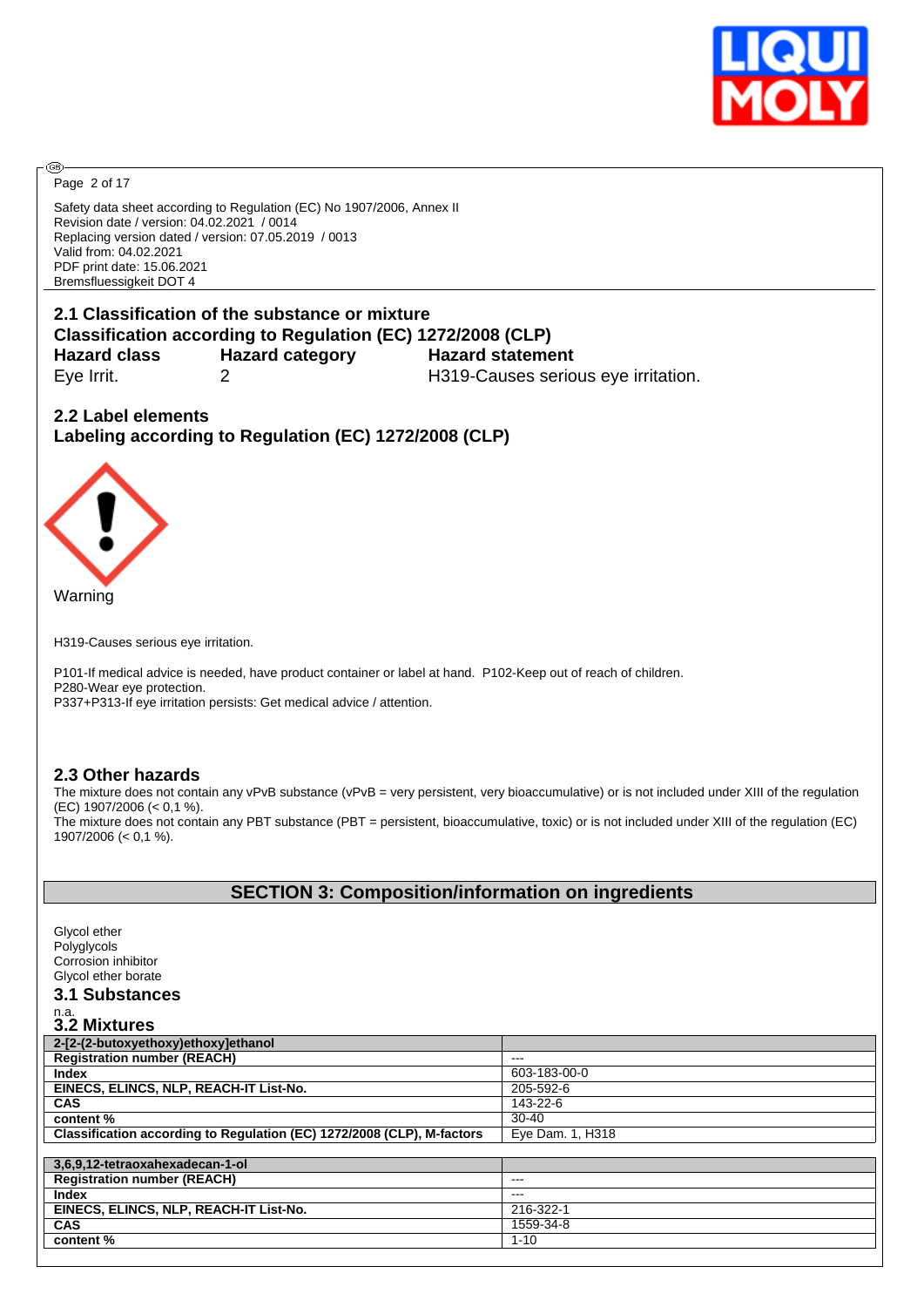

Page 2 of 17

**®** 

Safety data sheet according to Regulation (EC) No 1907/2006, Annex II Revision date / version: 04.02.2021 / 0014 Replacing version dated / version: 07.05.2019 / 0013 Valid from: 04.02.2021 PDF print date: 15.06.2021 Bremsfluessigkeit DOT 4

# **2.1 Classification of the substance or mixture Classification according to Regulation (EC) 1272/2008 (CLP) Hazard class Hazard category Hazard statement** Eye Irrit. 2 H319-Causes serious eye irritation.

**2.2 Label elements Labeling according to Regulation (EC) 1272/2008 (CLP)**



H319-Causes serious eye irritation.

P101-If medical advice is needed, have product container or label at hand. P102-Keep out of reach of children. P280-Wear eye protection.

P337+P313-If eye irritation persists: Get medical advice / attention.

# **2.3 Other hazards**

The mixture does not contain any vPvB substance (vPvB = very persistent, very bioaccumulative) or is not included under XIII of the regulation (EC) 1907/2006 (< 0,1 %). The mixture does not contain any PBT substance (PBT = persistent, bioaccumulative, toxic) or is not included under XIII of the regulation (EC)

1907/2006 (< 0,1 %).

# **SECTION 3: Composition/information on ingredients**

Glycol ether Polyglycols Corrosion inhibitor Glycol ether borate **3.1 Substances** n.a. **3.2 Mixtures 2-[2-(2-butoxyethoxy)ethoxy]ethanol Registration number (REACH)**<br>Index **Index** 603-183-00-0 **EINECS, ELINCS, NLP, REACH-IT List-No.** 205-592-6 **CAS** 143-22-6 **content %** 30-40 **Classification according to Regulation (EC) 1272/2008 (CLP), M-factors Figual Eye Dam. 1, H318 3,6,9,12-tetraoxahexadecan-1-ol Registration number (REACH)** --- **Index** --- **EINECS, ELINCS, NLP, REACH-IT List-No.** 216-322-1 **CAS** 1559-34-8 **content %** 1-10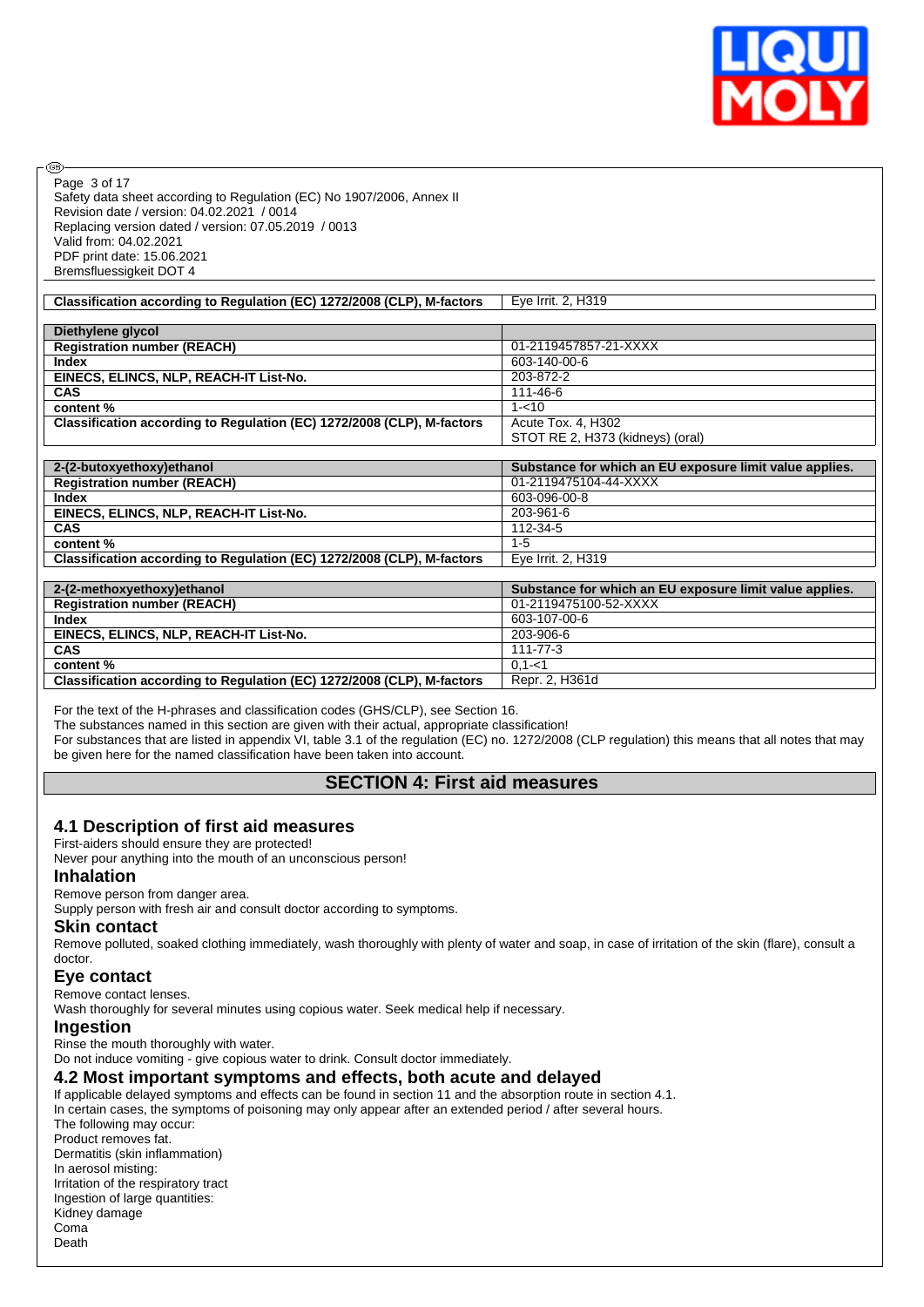

Page 3 of 17

**®** 

Safety data sheet according to Regulation (EC) No 1907/2006, Annex II Revision date / version: 04.02.2021 / 0014 Replacing version dated / version: 07.05.2019 / 0013 Valid from: 04.02.2021 PDF print date: 15.06.2021 Bremsfluessigkeit DOT 4

| Classification according to Regulation (EC) 1272/2008 (CLP), M-factors | Eye Irrit. 2, H319                                      |
|------------------------------------------------------------------------|---------------------------------------------------------|
|                                                                        |                                                         |
| Diethylene glycol                                                      |                                                         |
| <b>Registration number (REACH)</b>                                     | 01-2119457857-21-XXXX                                   |
| <b>Index</b>                                                           | 603-140-00-6                                            |
| EINECS, ELINCS, NLP, REACH-IT List-No.                                 | 203-872-2                                               |
| <b>CAS</b>                                                             | 111-46-6                                                |
| content %                                                              | $1 - 10$                                                |
| Classification according to Regulation (EC) 1272/2008 (CLP), M-factors | Acute Tox. 4, H302                                      |
|                                                                        | STOT RE 2, H373 (kidneys) (oral)                        |
|                                                                        |                                                         |
| 2-(2-butoxyethoxy) ethanol                                             | Substance for which an EU exposure limit value applies. |
| <b>Registration number (REACH)</b>                                     | 01-2119475104-44-XXXX                                   |
| <b>Index</b>                                                           | 603-096-00-8                                            |
| EINECS, ELINCS, NLP, REACH-IT List-No.                                 | 203-961-6                                               |
| <b>CAS</b>                                                             | 112-34-5                                                |
| content%                                                               | $1 - 5$                                                 |
| Classification according to Regulation (EC) 1272/2008 (CLP), M-factors | Eye Irrit. 2, H319                                      |
|                                                                        |                                                         |
| 2-(2-methoxyethoxy)ethanol                                             | Substance for which an EU exposure limit value applies. |
| <b>Registration number (REACH)</b>                                     | 01-2119475100-52-XXXX                                   |
| <b>Index</b>                                                           | 603-107-00-6                                            |
| EINECS, ELINCS, NLP, REACH-IT List-No.                                 | 203-906-6                                               |
| CAS                                                                    | $111 - 77 - 3$                                          |
| content%                                                               | $0,1 - 1$                                               |
| Classification according to Regulation (EC) 1272/2008 (CLP), M-factors | Repr. 2, H361d                                          |

For the text of the H-phrases and classification codes (GHS/CLP), see Section 16.

The substances named in this section are given with their actual, appropriate classification!

For substances that are listed in appendix VI, table 3.1 of the regulation (EC) no. 1272/2008 (CLP regulation) this means that all notes that may be given here for the named classification have been taken into account.

# **SECTION 4: First aid measures**

#### **4.1 Description of first aid measures**

First-aiders should ensure they are protected!

Never pour anything into the mouth of an unconscious person!

#### **Inhalation**

Remove person from danger area.

Supply person with fresh air and consult doctor according to symptoms.

#### **Skin contact**

Remove polluted, soaked clothing immediately, wash thoroughly with plenty of water and soap, in case of irritation of the skin (flare), consult a doctor.

#### **Eye contact**

Remove contact lenses.

Wash thoroughly for several minutes using copious water. Seek medical help if necessary.

#### **Ingestion**

Rinse the mouth thoroughly with water.

Do not induce vomiting - give copious water to drink. Consult doctor immediately.

#### **4.2 Most important symptoms and effects, both acute and delayed**

If applicable delayed symptoms and effects can be found in section 11 and the absorption route in section 4.1. In certain cases, the symptoms of poisoning may only appear after an extended period / after several hours.

The following may occur: Product removes fat. Dermatitis (skin inflammation) In aerosol misting: Irritation of the respiratory tract Ingestion of large quantities: Kidney damage Coma Death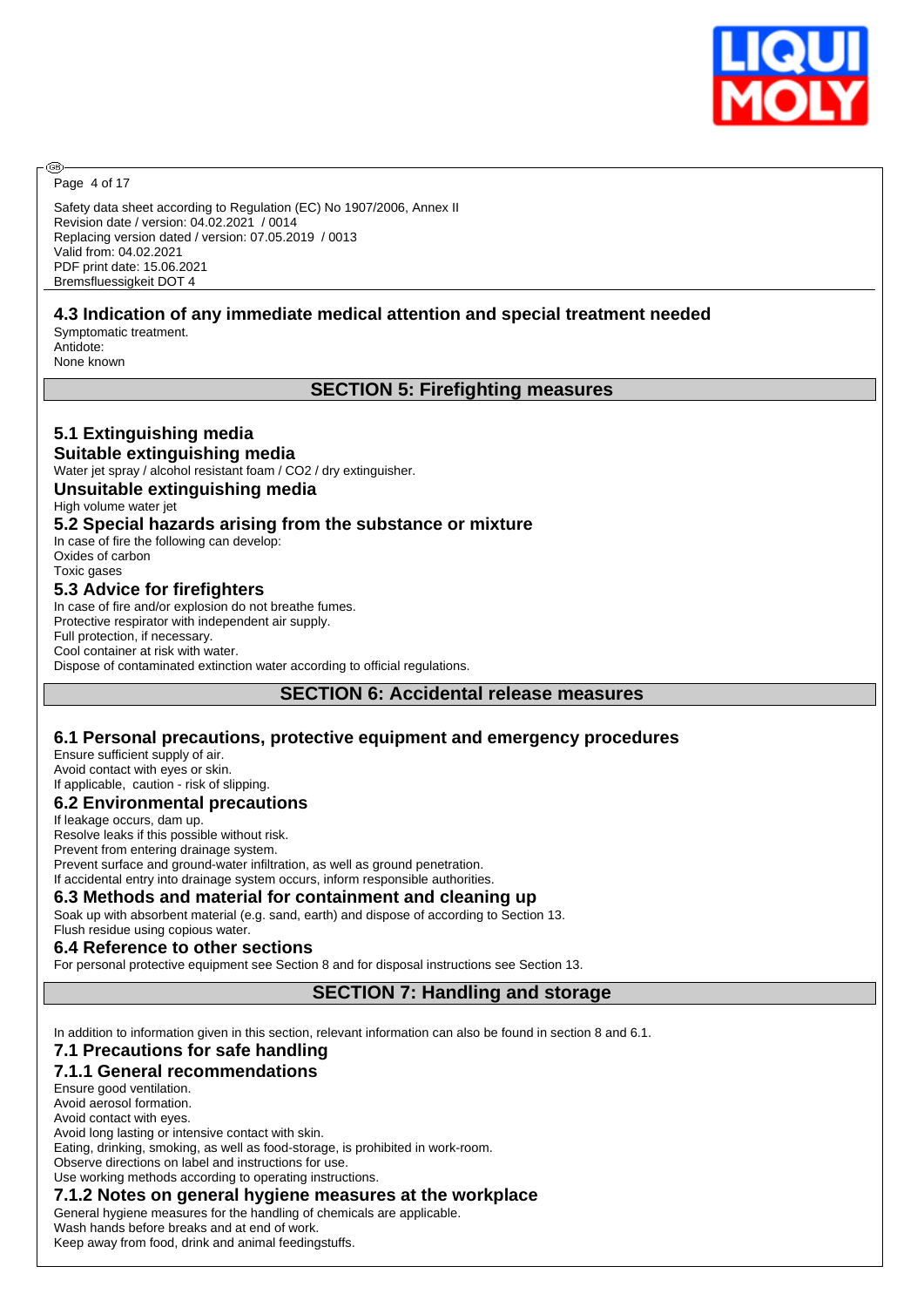

Page 4 of 17

@

Safety data sheet according to Regulation (EC) No 1907/2006, Annex II Revision date / version: 04.02.2021 / 0014 Replacing version dated / version: 07.05.2019 / 0013 Valid from: 04.02.2021 PDF print date: 15.06.2021 Bremsfluessigkeit DOT 4

# **4.3 Indication of any immediate medical attention and special treatment needed**

Symptomatic treatment. Antidote: None known

**5.1 Extinguishing media**

# **SECTION 5: Firefighting measures**

| Suitable extinguishing media                                                |
|-----------------------------------------------------------------------------|
| Water jet spray / alcohol resistant foam / CO2 / dry extinguisher.          |
| Unsuitable extinguishing media                                              |
| High volume water jet                                                       |
| 5.2 Special hazards arising from the substance or mixture                   |
| In case of fire the following can develop:                                  |
| Oxides of carbon                                                            |
| Toxic gases                                                                 |
| 5.3 Advice for firefighters                                                 |
| In case of fire and/or explosion do not breathe fumes.                      |
| Protective respirator with independent air supply.                          |
| Full protection, if necessary.                                              |
| Cool container at risk with water.                                          |
| Dispose of contaminated extinction water according to official regulations. |
|                                                                             |

**SECTION 6: Accidental release measures**

### **6.1 Personal precautions, protective equipment and emergency procedures**

Ensure sufficient supply of air. Avoid contact with eyes or skin. If applicable, caution - risk of slipping.

### **6.2 Environmental precautions**

If leakage occurs, dam up. Resolve leaks if this possible without risk. Prevent from entering drainage system. Prevent surface and ground-water infiltration, as well as ground penetration. If accidental entry into drainage system occurs, inform responsible authorities.

#### **6.3 Methods and material for containment and cleaning up**

Soak up with absorbent material (e.g. sand, earth) and dispose of according to Section 13.

#### Flush residue using copious water. **6.4 Reference to other sections**

For personal protective equipment see Section 8 and for disposal instructions see Section 13.

# **SECTION 7: Handling and storage**

In addition to information given in this section, relevant information can also be found in section 8 and 6.1.

# **7.1 Precautions for safe handling**

#### **7.1.1 General recommendations**

Ensure good ventilation. Avoid aerosol formation. Avoid contact with eyes. Avoid long lasting or intensive contact with skin. Eating, drinking, smoking, as well as food-storage, is prohibited in work-room. Observe directions on label and instructions for use. Use working methods according to operating instructions. **7.1.2 Notes on general hygiene measures at the workplace**

General hygiene measures for the handling of chemicals are applicable.

Wash hands before breaks and at end of work.

Keep away from food, drink and animal feedingstuffs.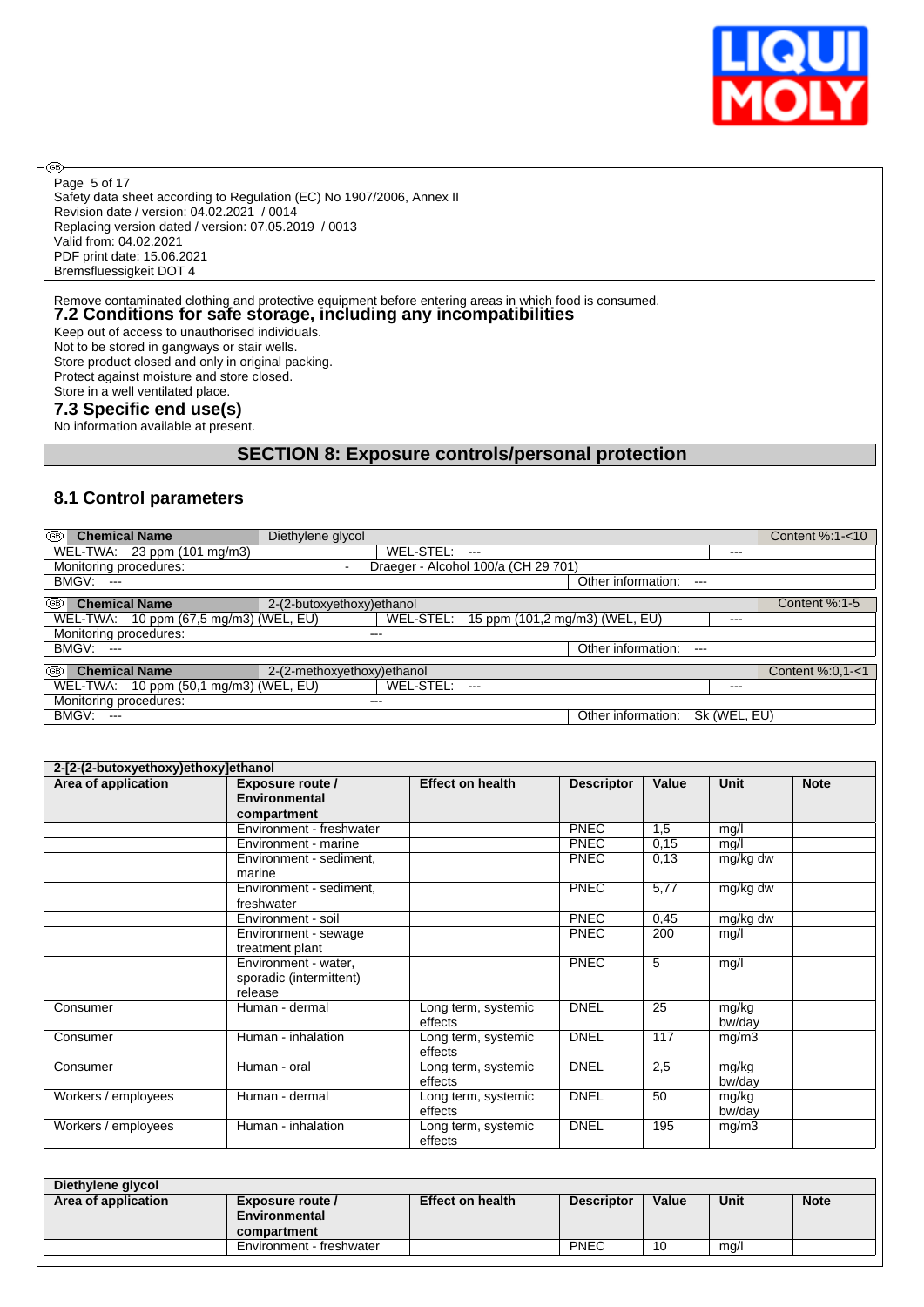

Safety data sheet according to Regulation (EC) No 1907/2006, Annex II Revision date / version: 04.02.2021 / 0014 Replacing version dated / version: 07.05.2019 / 0013 Valid from: 04.02.2021 PDF print date: 15.06.2021 Bremsfluessigkeit DOT 4 Page 5 of 17

# Remove contaminated clothing and protective equipment before entering areas in which food is consumed. **7.2 Conditions for safe storage, including any incompatibilities**

Keep out of access to unauthorised individuals. Not to be stored in gangways or stair wells. Store product closed and only in original packing. Protect against moisture and store closed. Store in a well ventilated place.

#### **7.3 Specific end use(s)**

®

No information available at present.

# **SECTION 8: Exposure controls/personal protection**

# **8.1 Control parameters**

| I®<br><b>Chemical Name</b>             | Diethylene glycol           |               |                                          |                    |              | Content %:1-<10  |
|----------------------------------------|-----------------------------|---------------|------------------------------------------|--------------------|--------------|------------------|
| WEL-TWA: 23 ppm (101 mg/m3)            |                             | WEL-STEL: --- |                                          |                    | ---          |                  |
| Monitoring procedures:                 |                             |               | Draeger - Alcohol 100/a (CH 29 701)      |                    |              |                  |
| BMGV:<br>$-$                           |                             |               |                                          | Other information: | $---$        |                  |
| ∣®<br><b>Chemical Name</b>             | 2-(2-butoxyethoxy)ethanol   |               |                                          |                    |              | Content %:1-5    |
| WEL-TWA: 10 ppm (67,5 mg/m3) (WEL, EU) |                             |               | WEL-STEL: 15 ppm (101,2 mg/m3) (WEL, EU) |                    | $---$        |                  |
| Monitoring procedures:                 | $--$                        |               |                                          |                    |              |                  |
| <b>BMGV: ---</b>                       |                             |               |                                          | Other information: | $--$         |                  |
| I®<br><b>Chemical Name</b>             | 2-(2-methoxyethoxy) ethanol |               |                                          |                    |              | Content %:0.1-<1 |
| WEL-TWA: 10 ppm (50,1 mg/m3) (WEL, EU) |                             | WEL-STEL:     | $---$                                    |                    | ---          |                  |
| Monitoring procedures:                 |                             | $- - -$       |                                          |                    |              |                  |
| <b>BMGV: ---</b>                       |                             |               |                                          | Other information: | Sk (WEL, EU) |                  |
|                                        |                             |               |                                          |                    |              |                  |
|                                        |                             |               |                                          |                    |              |                  |
| 2-12-(2-hutoxyethoxy)ethoxylethanol    |                             |               |                                          |                    |              |                  |

| Area of application | <b>Exposure route /</b><br>Environmental<br>compartment    | <b>Effect on health</b>        | <b>Descriptor</b> | Value | <b>Unit</b>     | <b>Note</b> |
|---------------------|------------------------------------------------------------|--------------------------------|-------------------|-------|-----------------|-------------|
|                     | Environment - freshwater                                   |                                | PNEC              | 1,5   | mg/l            |             |
|                     | Environment - marine                                       |                                | PNEC              | 0,15  | mg/l            |             |
|                     | Environment - sediment,<br>marine                          |                                | <b>PNEC</b>       | 0.13  | mg/kg dw        |             |
|                     | Environment - sediment,<br>freshwater                      |                                | PNEC              | 5,77  | mg/kg dw        |             |
|                     | Environment - soil                                         |                                | <b>PNEC</b>       | 0,45  | mg/kg dw        |             |
|                     | Environment - sewage<br>treatment plant                    |                                | <b>PNEC</b>       | 200   | mg/l            |             |
|                     | Environment - water,<br>sporadic (intermittent)<br>release |                                | <b>PNEC</b>       | 5     | mg/l            |             |
| Consumer            | Human - dermal                                             | Long term, systemic<br>effects | <b>DNEL</b>       | 25    | mg/kg<br>bw/day |             |
| Consumer            | Human - inhalation                                         | Long term, systemic<br>effects | <b>DNEL</b>       | 117   | mg/m3           |             |
| Consumer            | Human - oral                                               | Long term, systemic<br>effects | <b>DNEL</b>       | 2,5   | mg/kg<br>bw/day |             |
| Workers / employees | Human - dermal                                             | Long term, systemic<br>effects | <b>DNEL</b>       | 50    | mg/kg<br>bw/day |             |
| Workers / employees | Human - inhalation                                         | Long term, systemic<br>effects | <b>DNEL</b>       | 195   | mg/m3           |             |

| Diethylene glycol   |                          |                         |                   |       |      |             |
|---------------------|--------------------------|-------------------------|-------------------|-------|------|-------------|
| Area of application | Exposure route /         | <b>Effect on health</b> | <b>Descriptor</b> | Value | Unit | <b>Note</b> |
|                     | Environmental            |                         |                   |       |      |             |
|                     | compartment              |                         |                   |       |      |             |
|                     | Environment - freshwater |                         | <b>PNEC</b>       | 10    | mg/l |             |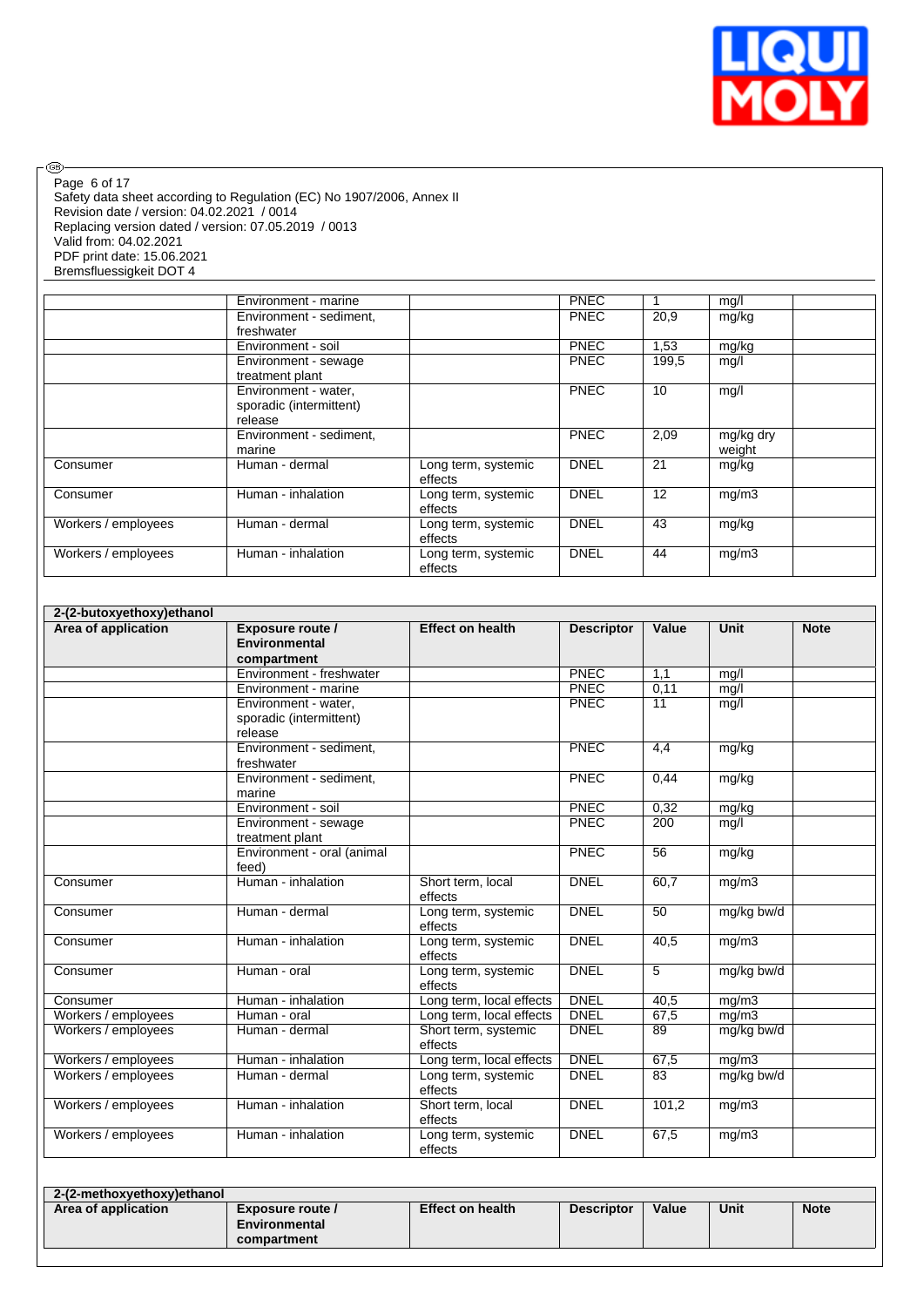

 $\circledcirc$ Page 6 of 17

Safety data sheet according to Regulation (EC) No 1907/2006, Annex II Revision date / version: 04.02.2021 / 0014 Replacing version dated / version: 07.05.2019 / 0013 Valid from: 04.02.2021 PDF print date: 15.06.2021 Bremsfluessigkeit DOT 4

|                     | Environment - marine                                       |                                | <b>PNEC</b> |       | mg/l                |
|---------------------|------------------------------------------------------------|--------------------------------|-------------|-------|---------------------|
|                     | Environment - sediment,<br>freshwater                      |                                | <b>PNEC</b> | 20,9  | mg/kg               |
|                     | Environment - soil                                         |                                | <b>PNEC</b> | 1,53  | mg/kg               |
|                     | Environment - sewage<br>treatment plant                    |                                | <b>PNEC</b> | 199,5 | mg/l                |
|                     | Environment - water,<br>sporadic (intermittent)<br>release |                                | <b>PNEC</b> | 10    | mg/l                |
|                     | Environment - sediment,<br>marine                          |                                | <b>PNEC</b> | 2,09  | mg/kg dry<br>weight |
| Consumer            | Human - dermal                                             | Long term, systemic<br>effects | <b>DNEL</b> | 21    | mg/kg               |
| Consumer            | Human - inhalation                                         | Long term, systemic<br>effects | <b>DNEL</b> | 12    | mq/m3               |
| Workers / employees | Human - dermal                                             | Long term, systemic<br>effects | <b>DNEL</b> | 43    | mg/kg               |
| Workers / employees | Human - inhalation                                         | Long term, systemic<br>effects | <b>DNEL</b> | 44    | mg/m3               |

| 2-(2-butoxyethoxy) ethanol |                                                            |                                 |                   |                 |             |             |  |  |  |
|----------------------------|------------------------------------------------------------|---------------------------------|-------------------|-----------------|-------------|-------------|--|--|--|
| Area of application        | Exposure route /<br><b>Environmental</b><br>compartment    | <b>Effect on health</b>         | <b>Descriptor</b> | Value           | <b>Unit</b> | <b>Note</b> |  |  |  |
|                            | Environment - freshwater                                   |                                 | PNEC              | 1,1             | mq/l        |             |  |  |  |
|                            | Environment - marine                                       |                                 | PNEC              | 0,11            | mq/l        |             |  |  |  |
|                            | Environment - water,<br>sporadic (intermittent)<br>release |                                 | PNEC              | 11              | mg/l        |             |  |  |  |
|                            | Environment - sediment,<br>freshwater                      |                                 | PNEC              | 4,4             | mg/kg       |             |  |  |  |
|                            | Environment - sediment,<br>marine                          |                                 | <b>PNEC</b>       | 0,44            | mg/kg       |             |  |  |  |
|                            | Environment - soil                                         |                                 | PNEC              | 0.32            | mg/kg       |             |  |  |  |
|                            | Environment - sewage<br>treatment plant                    |                                 | <b>PNEC</b>       | 200             | mq/l        |             |  |  |  |
|                            | Environment - oral (animal<br>feed)                        |                                 | PNEC              | 56              | mg/kg       |             |  |  |  |
| Consumer                   | Human - inhalation                                         | Short term, local<br>effects    | <b>DNEL</b>       | 60,7            | mq/m3       |             |  |  |  |
| Consumer                   | Human - dermal                                             | Long term, systemic<br>effects  | <b>DNEL</b>       | 50              | mg/kg bw/d  |             |  |  |  |
| Consumer                   | Human - inhalation                                         | Long term, systemic<br>effects  | <b>DNEL</b>       | 40.5            | mq/m3       |             |  |  |  |
| Consumer                   | Human - oral                                               | Long term, systemic<br>effects  | <b>DNEL</b>       | $5\overline{)}$ | mg/kg bw/d  |             |  |  |  |
| Consumer                   | Human - inhalation                                         | Long term, local effects        | <b>DNEL</b>       | 40,5            | mg/m3       |             |  |  |  |
| Workers / employees        | Human - oral                                               | Long term, local effects        | <b>DNEL</b>       | 67,5            | mq/m3       |             |  |  |  |
| Workers / employees        | Human - dermal                                             | Short term, systemic<br>effects | <b>DNEL</b>       | 89              | mg/kg bw/d  |             |  |  |  |
| Workers / employees        | Human - inhalation                                         | Long term, local effects        | <b>DNEL</b>       | 67,5            | mg/m3       |             |  |  |  |
| Workers / employees        | Human - dermal                                             | Long term, systemic<br>effects  | <b>DNEL</b>       | $\overline{83}$ | mg/kg bw/d  |             |  |  |  |
| Workers / employees        | Human - inhalation                                         | Short term, local<br>effects    | <b>DNEL</b>       | 101,2           | mg/m3       |             |  |  |  |
| Workers / employees        | Human - inhalation                                         | Long term, systemic<br>effects  | <b>DNEL</b>       | 67,5            | mg/m3       |             |  |  |  |

| 2-(2-methoxyethoxy)ethanol |                                                  |                         |                   |       |      |             |  |  |  |
|----------------------------|--------------------------------------------------|-------------------------|-------------------|-------|------|-------------|--|--|--|
| Area of application        | Exposure route /<br>Environmental<br>compartment | <b>Effect on health</b> | <b>Descriptor</b> | Value | Unit | <b>Note</b> |  |  |  |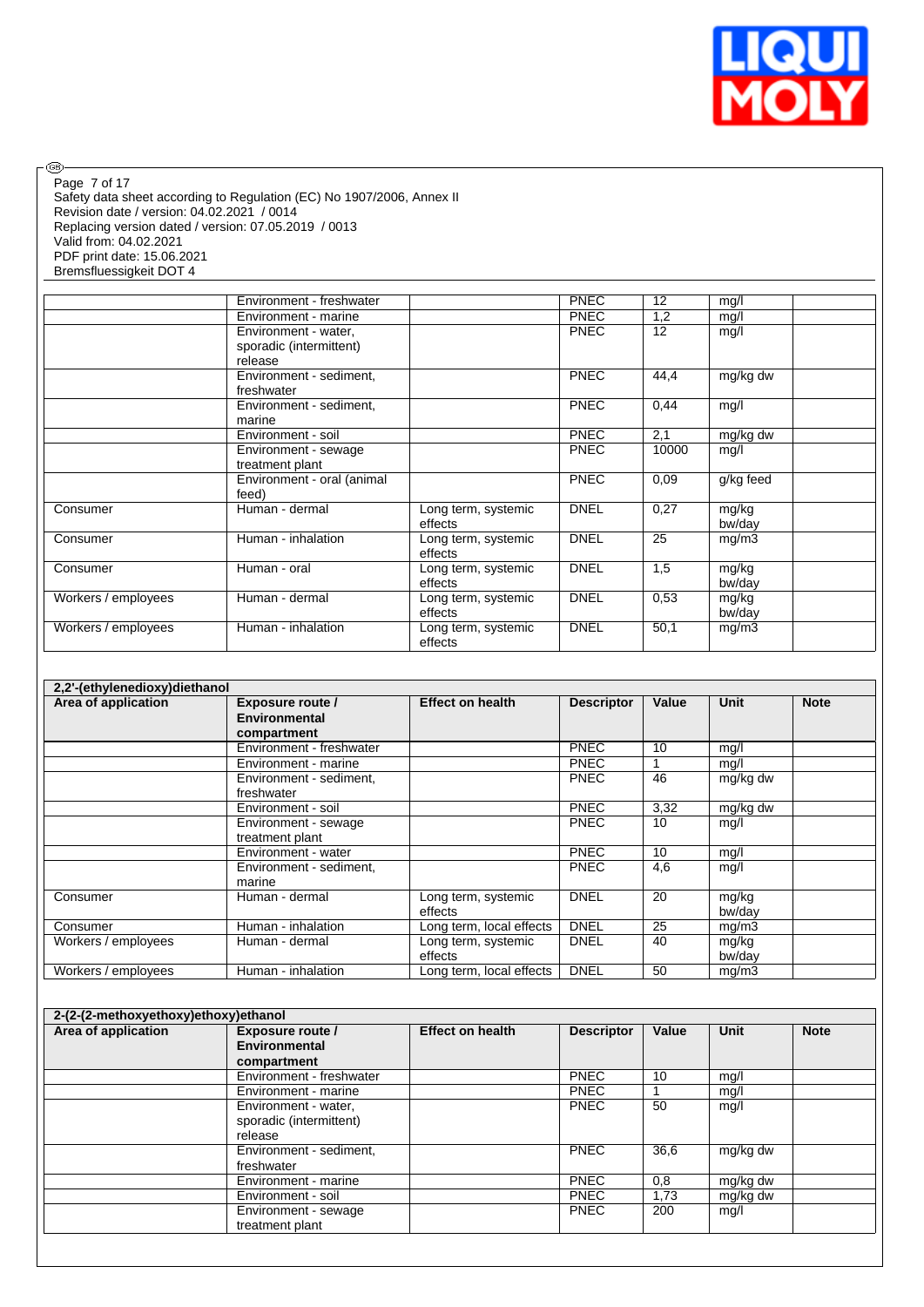

Safety data sheet according to Regulation (EC) No 1907/2006, Annex II Revision date / version: 04.02.2021 / 0014 Replacing version dated / version: 07.05.2019 / 0013 Valid from: 04.02.2021 PDF print date: 15.06.2021 Bremsfluessigkeit DOT 4 Page 7 of 17

 $\circledcirc$ 

|                     | Environment - freshwater   |                     | <b>PNEC</b> | 12    | mg/l      |  |
|---------------------|----------------------------|---------------------|-------------|-------|-----------|--|
|                     | Environment - marine       |                     | <b>PNEC</b> | 1,2   | mg/l      |  |
|                     | Environment - water,       |                     | <b>PNEC</b> | 12    | mg/l      |  |
|                     | sporadic (intermittent)    |                     |             |       |           |  |
|                     | release                    |                     |             |       |           |  |
|                     | Environment - sediment,    |                     | <b>PNEC</b> | 44,4  | mg/kg dw  |  |
|                     | freshwater                 |                     |             |       |           |  |
|                     | Environment - sediment,    |                     | <b>PNEC</b> | 0,44  | mq/l      |  |
|                     | marine                     |                     |             |       |           |  |
|                     | Environment - soil         |                     | <b>PNEC</b> | 2,1   | mg/kg dw  |  |
|                     | Environment - sewage       |                     | <b>PNEC</b> | 10000 | mg/l      |  |
|                     | treatment plant            |                     |             |       |           |  |
|                     | Environment - oral (animal |                     | <b>PNEC</b> | 0.09  | g/kg feed |  |
|                     | feed)                      |                     |             |       |           |  |
| Consumer            | Human - dermal             | Long term, systemic | <b>DNEL</b> | 0,27  | mg/kg     |  |
|                     |                            | effects             |             |       | bw/day    |  |
| Consumer            | Human - inhalation         | Long term, systemic | <b>DNEL</b> | 25    | mg/m3     |  |
|                     |                            | effects             |             |       |           |  |
| Consumer            | Human - oral               | Long term, systemic | <b>DNEL</b> | 1,5   | mg/kg     |  |
|                     |                            | effects             |             |       | bw/day    |  |
| Workers / employees | Human - dermal             | Long term, systemic | <b>DNEL</b> | 0.53  | mg/kg     |  |
|                     |                            | effects             |             |       | bw/day    |  |
| Workers / employees | Human - inhalation         | Long term, systemic | <b>DNEL</b> | 50,1  | mg/m3     |  |
|                     |                            | effects             |             |       |           |  |

| 2,2'-(ethylenedioxy)diethanol |                          |                          |                   |       |          |             |  |  |  |  |
|-------------------------------|--------------------------|--------------------------|-------------------|-------|----------|-------------|--|--|--|--|
| Area of application           | <b>Exposure route /</b>  | <b>Effect on health</b>  | <b>Descriptor</b> | Value | Unit     | <b>Note</b> |  |  |  |  |
|                               | Environmental            |                          |                   |       |          |             |  |  |  |  |
|                               | compartment              |                          |                   |       |          |             |  |  |  |  |
|                               | Environment - freshwater |                          | <b>PNEC</b>       | 10    | mg/l     |             |  |  |  |  |
|                               | Environment - marine     |                          | <b>PNEC</b>       |       | mg/l     |             |  |  |  |  |
|                               | Environment - sediment,  |                          | <b>PNEC</b>       | 46    | mg/kg dw |             |  |  |  |  |
|                               | freshwater               |                          |                   |       |          |             |  |  |  |  |
|                               | Environment - soil       |                          | <b>PNEC</b>       | 3,32  | mg/kg dw |             |  |  |  |  |
|                               | Environment - sewage     |                          | <b>PNEC</b>       | 10    | mg/l     |             |  |  |  |  |
|                               | treatment plant          |                          |                   |       |          |             |  |  |  |  |
|                               | Environment - water      |                          | <b>PNEC</b>       | 10    | mg/l     |             |  |  |  |  |
|                               | Environment - sediment,  |                          | <b>PNEC</b>       | 4,6   | mg/l     |             |  |  |  |  |
|                               | marine                   |                          |                   |       |          |             |  |  |  |  |
| Consumer                      | Human - dermal           | Long term, systemic      | <b>DNEL</b>       | 20    | mg/kg    |             |  |  |  |  |
|                               |                          | effects                  |                   |       | bw/dav   |             |  |  |  |  |
| Consumer                      | Human - inhalation       | Long term, local effects | <b>DNEL</b>       | 25    | mg/m3    |             |  |  |  |  |
| Workers / employees           | Human - dermal           | Long term, systemic      | <b>DNEL</b>       | 40    | mg/kg    |             |  |  |  |  |
|                               |                          | effects                  |                   |       | bw/day   |             |  |  |  |  |
| Workers / employees           | Human - inhalation       | Long term, local effects | <b>DNEL</b>       | 50    | mg/m3    |             |  |  |  |  |

| Area of application | Exposure route /<br><b>Environmental</b><br>compartment    | <b>Effect on health</b> | <b>Descriptor</b> | Value | <b>Unit</b> | <b>Note</b> |
|---------------------|------------------------------------------------------------|-------------------------|-------------------|-------|-------------|-------------|
|                     | Environment - freshwater                                   |                         | <b>PNEC</b>       | 10    | mg/l        |             |
|                     | Environment - marine                                       |                         | <b>PNEC</b>       |       | mg/l        |             |
|                     | Environment - water,<br>sporadic (intermittent)<br>release |                         | <b>PNEC</b>       | 50    | mg/l        |             |
|                     | Environment - sediment,<br>freshwater                      |                         | <b>PNEC</b>       | 36,6  | mg/kg dw    |             |
|                     | Environment - marine                                       |                         | <b>PNEC</b>       | 0,8   | mg/kg dw    |             |
|                     | Environment - soil                                         |                         | <b>PNEC</b>       | 1,73  | mg/kg dw    |             |
|                     | Environment - sewage<br>treatment plant                    |                         | <b>PNEC</b>       | 200   | mg/l        |             |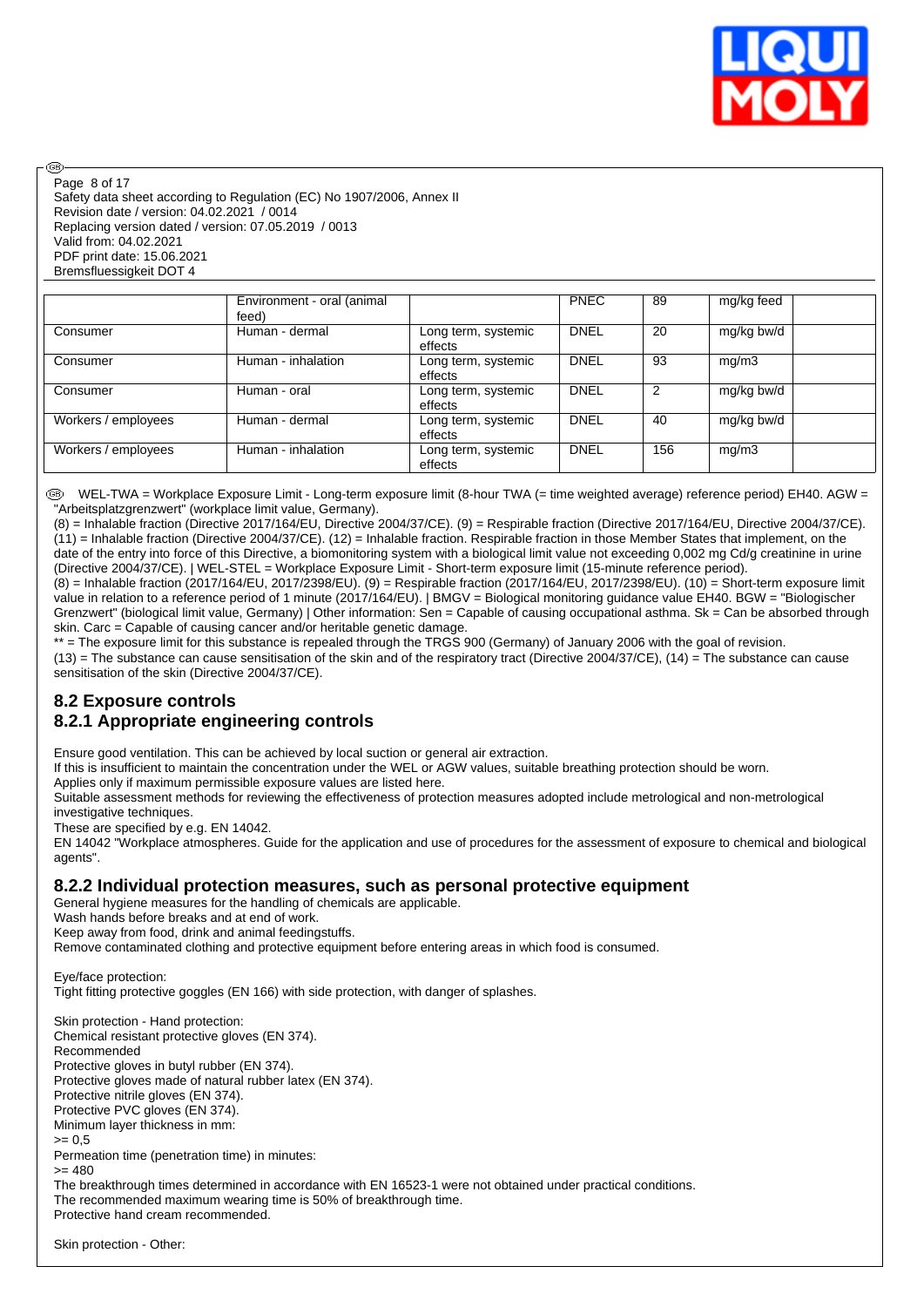

Safety data sheet according to Regulation (EC) No 1907/2006, Annex II Revision date / version: 04.02.2021 / 0014 Replacing version dated / version: 07.05.2019 / 0013 Valid from: 04.02.2021 PDF print date: 15.06.2021 Bremsfluessigkeit DOT 4 Page 8 of 17

അ

|                     | Environment - oral (animal<br>feed) |                                | <b>PNEC</b> | 89  | mg/kg feed |  |
|---------------------|-------------------------------------|--------------------------------|-------------|-----|------------|--|
| Consumer            | Human - dermal                      | Long term, systemic<br>effects | <b>DNEL</b> | 20  | mg/kg bw/d |  |
| Consumer            | Human - inhalation                  | Long term, systemic<br>effects | <b>DNEL</b> | 93  | mg/m3      |  |
| Consumer            | Human - oral                        | Long term, systemic<br>effects | <b>DNEL</b> | 2   | mg/kg bw/d |  |
| Workers / employees | Human - dermal                      | Long term, systemic<br>effects | <b>DNEL</b> | 40  | mg/kg bw/d |  |
| Workers / employees | Human - inhalation                  | Long term, systemic<br>effects | <b>DNEL</b> | 156 | mg/m3      |  |

 WEL-TWA = Workplace Exposure Limit - Long-term exposure limit (8-hour TWA (= time weighted average) reference period) EH40. AGW = "Arbeitsplatzgrenzwert" (workplace limit value, Germany).

(8) = Inhalable fraction (Directive 2017/164/EU, Directive 2004/37/CE). (9) = Respirable fraction (Directive 2017/164/EU, Directive 2004/37/CE). (11) = Inhalable fraction (Directive 2004/37/CE). (12) = Inhalable fraction. Respirable fraction in those Member States that implement, on the date of the entry into force of this Directive, a biomonitoring system with a biological limit value not exceeding 0,002 mg Cd/g creatinine in urine (Directive 2004/37/CE). | WEL-STEL = Workplace Exposure Limit - Short-term exposure limit (15-minute reference period).

(8) = Inhalable fraction (2017/164/EU, 2017/2398/EU). (9) = Respirable fraction (2017/164/EU, 2017/2398/EU). (10) = Short-term exposure limit value in relation to a reference period of 1 minute (2017/164/EU). | BMGV = Biological monitoring guidance value EH40. BGW = "Biologischer Grenzwert" (biological limit value, Germany) | Other information: Sen = Capable of causing occupational asthma. Sk = Can be absorbed through skin. Carc = Capable of causing cancer and/or heritable genetic damage.

 $t =$  The exposure limit for this substance is repealed through the TRGS 900 (Germany) of January 2006 with the goal of revision.

 $(13)$  = The substance can cause sensitisation of the skin and of the respiratory tract (Directive 2004/37/CE),  $(14)$  = The substance can cause sensitisation of the skin (Directive 2004/37/CE).

# **8.2 Exposure controls 8.2.1 Appropriate engineering controls**

Ensure good ventilation. This can be achieved by local suction or general air extraction.

If this is insufficient to maintain the concentration under the WEL or AGW values, suitable breathing protection should be worn.

Applies only if maximum permissible exposure values are listed here.

Suitable assessment methods for reviewing the effectiveness of protection measures adopted include metrological and non-metrological investigative techniques.

These are specified by e.g. EN 14042.

EN 14042 "Workplace atmospheres. Guide for the application and use of procedures for the assessment of exposure to chemical and biological agents".

### **8.2.2 Individual protection measures, such as personal protective equipment**

General hygiene measures for the handling of chemicals are applicable.

Wash hands before breaks and at end of work.

Keep away from food, drink and animal feedingstuffs.

Remove contaminated clothing and protective equipment before entering areas in which food is consumed.

Eye/face protection:

Tight fitting protective goggles (EN 166) with side protection, with danger of splashes.

Skin protection - Hand protection: Chemical resistant protective gloves (EN 374). Recommended Protective gloves in butyl rubber (EN 374). Protective gloves made of natural rubber latex (EN 374). Protective nitrile gloves (EN 374). Protective PVC gloves (EN 374). Minimum layer thickness in mm:  $>= 0.5$ Permeation time (penetration time) in minutes:  $>= 480$ The breakthrough times determined in accordance with EN 16523-1 were not obtained under practical conditions. The recommended maximum wearing time is 50% of breakthrough time. Protective hand cream recommended.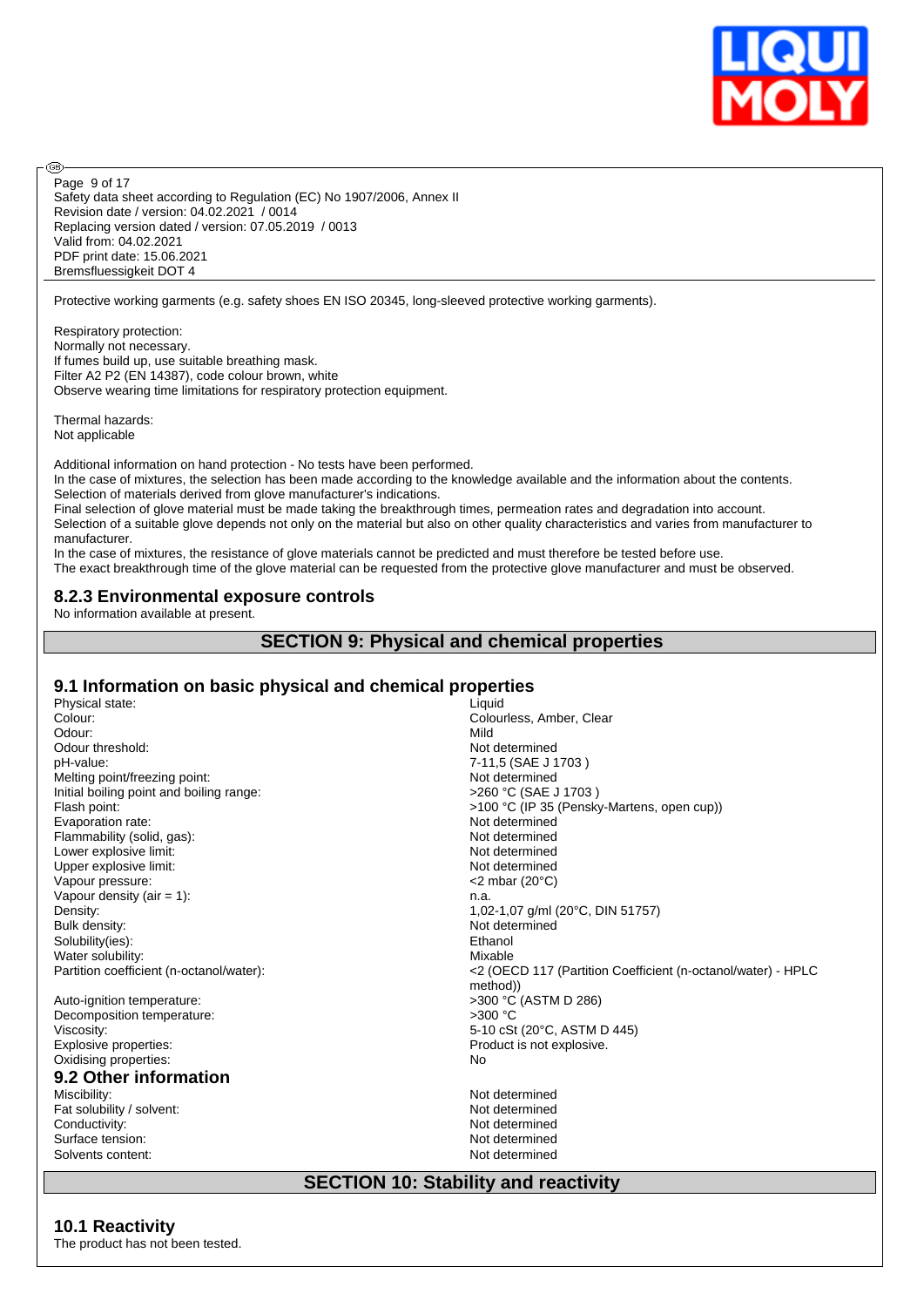

Safety data sheet according to Regulation (EC) No 1907/2006, Annex II Revision date / version: 04.02.2021 / 0014 Replacing version dated / version: 07.05.2019 / 0013 Valid from: 04.02.2021 PDF print date: 15.06.2021 Bremsfluessigkeit DOT 4 Page 9 of 17

Protective working garments (e.g. safety shoes EN ISO 20345, long-sleeved protective working garments).

Respiratory protection: Normally not necessary. If fumes build up, use suitable breathing mask. Filter A2 P2 (EN 14387), code colour brown, white Observe wearing time limitations for respiratory protection equipment.

Thermal hazards: Not applicable

**®** 

Additional information on hand protection - No tests have been performed.

In the case of mixtures, the selection has been made according to the knowledge available and the information about the contents. Selection of materials derived from glove manufacturer's indications.

Final selection of glove material must be made taking the breakthrough times, permeation rates and degradation into account. Selection of a suitable glove depends not only on the material but also on other quality characteristics and varies from manufacturer to manufacturer.

In the case of mixtures, the resistance of glove materials cannot be predicted and must therefore be tested before use. The exact breakthrough time of the glove material can be requested from the protective glove manufacturer and must be observed.

#### **8.2.3 Environmental exposure controls**

No information available at present.

#### **SECTION 9: Physical and chemical properties**

## **9.1 Information on basic physical and chemical properties**

Solvents content: Not determined

| Physical state:                          | Liquid                                                                  |
|------------------------------------------|-------------------------------------------------------------------------|
| Colour:                                  | Colourless, Amber, Clear                                                |
| Odour:                                   | Mild                                                                    |
| Odour threshold:                         | Not determined                                                          |
| pH-value:                                | 7-11,5 (SAE J 1703)                                                     |
| Melting point/freezing point:            | Not determined                                                          |
| Initial boiling point and boiling range: | >260 °C (SAE J 1703)                                                    |
| Flash point:                             | >100 °C (IP 35 (Pensky-Martens, open cup))                              |
| Evaporation rate:                        | Not determined                                                          |
| Flammability (solid, gas):               | Not determined                                                          |
| Lower explosive limit:                   | Not determined                                                          |
| Upper explosive limit:                   | Not determined                                                          |
| Vapour pressure:                         | $<$ 2 mbar (20 $\degree$ C)                                             |
| Vapour density (air $= 1$ ):             | n.a.                                                                    |
| Density:                                 | 1,02-1,07 g/ml (20°C, DIN 51757)                                        |
| Bulk density:                            | Not determined                                                          |
| Solubility(ies):                         | Ethanol                                                                 |
| Water solubility:                        | Mixable                                                                 |
| Partition coefficient (n-octanol/water): | <2 (OECD 117 (Partition Coefficient (n-octanol/water) - HPLC<br>method) |
| Auto-ignition temperature:               | >300 °C (ASTM D 286)                                                    |
| Decomposition temperature:               | $>300$ °C                                                               |
| Viscosity:                               | 5-10 cSt (20°C, ASTM D 445)                                             |
| Explosive properties:                    | Product is not explosive.                                               |
| Oxidising properties:                    | No                                                                      |
| 9.2 Other information                    |                                                                         |
| Miscibility:                             | Not determined                                                          |
| Fat solubility / solvent:                | Not determined                                                          |
| Conductivity:                            | Not determined                                                          |
| Surface tension:                         | Not determined                                                          |

# **SECTION 10: Stability and reactivity**

#### **10.1 Reactivity** The product has not been tested.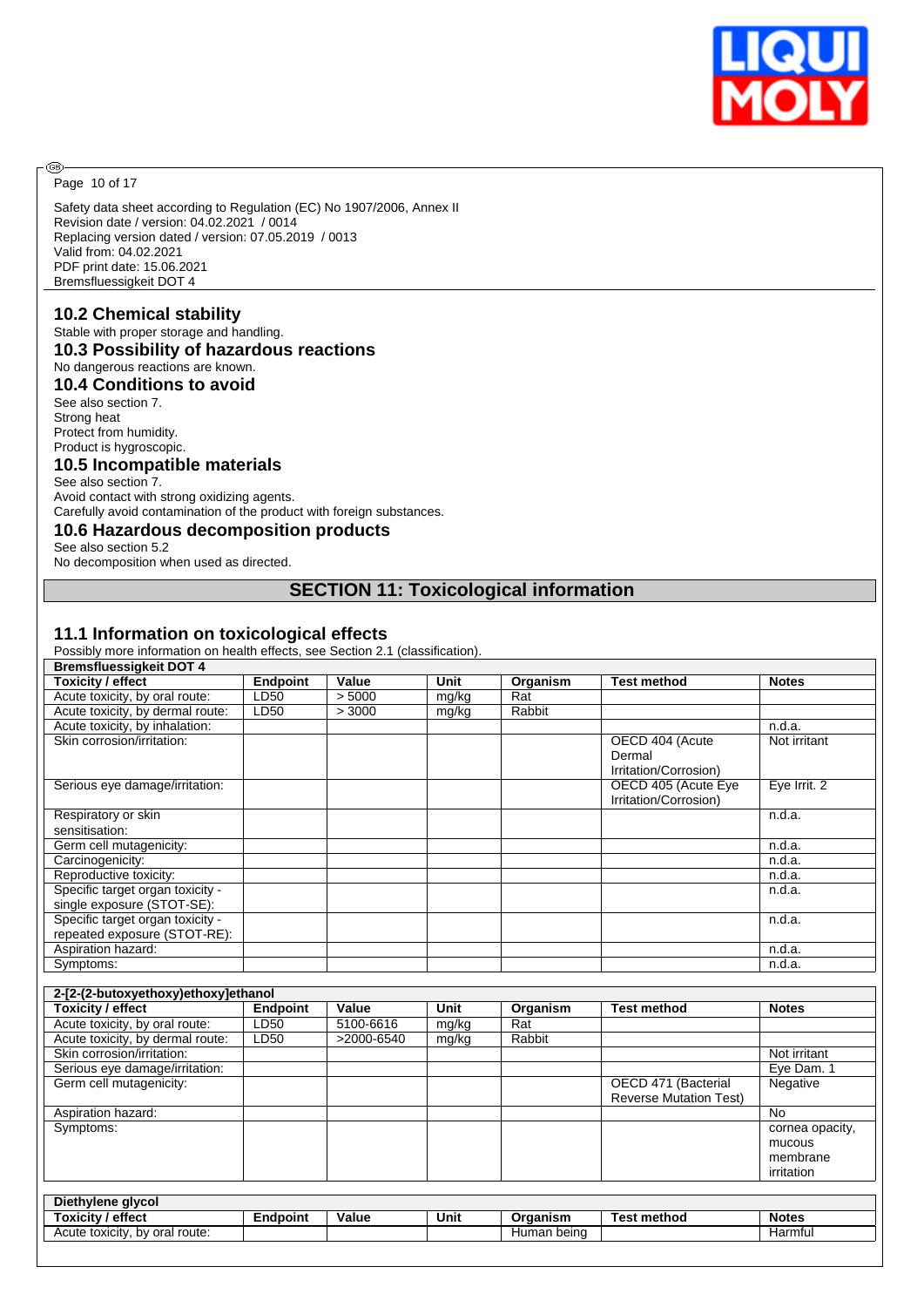

Page 10 of 17

®

Safety data sheet according to Regulation (EC) No 1907/2006, Annex II Revision date / version: 04.02.2021 / 0014 Replacing version dated / version: 07.05.2019 / 0013 Valid from: 04.02.2021 PDF print date: 15.06.2021 Bremsfluessigkeit DOT 4

## **10.2 Chemical stability**

Stable with proper storage and handling.

## **10.3 Possibility of hazardous reactions**

No dangerous reactions are known.

# **10.4 Conditions to avoid**

See also section 7. Strong heat Protect from humidity. Product is hygroscopic.

#### **10.5 Incompatible materials**

See also section 7. Avoid contact with strong oxidizing agents. Carefully avoid contamination of the product with foreign substances.

### **10.6 Hazardous decomposition products**

See also section 5.2

No decomposition when used as directed.

# **SECTION 11: Toxicological information**

#### **11.1 Information on toxicological effects**

Possibly more information on health effects, see Section 2.1 (classification).

| <b>Bremsfluessigkeit DOT 4</b>   |                 |        |       |          |                                                    |              |
|----------------------------------|-----------------|--------|-------|----------|----------------------------------------------------|--------------|
| <b>Toxicity / effect</b>         | <b>Endpoint</b> | Value  | Unit  | Organism | <b>Test method</b>                                 | <b>Notes</b> |
| Acute toxicity, by oral route:   | LD50            | > 5000 | mg/kg | Rat      |                                                    |              |
| Acute toxicity, by dermal route: | LD50            | > 3000 | mg/kg | Rabbit   |                                                    |              |
| Acute toxicity, by inhalation:   |                 |        |       |          |                                                    | n.d.a.       |
| Skin corrosion/irritation:       |                 |        |       |          | OECD 404 (Acute<br>Dermal<br>Irritation/Corrosion) | Not irritant |
| Serious eye damage/irritation:   |                 |        |       |          | OECD 405 (Acute Eye<br>Irritation/Corrosion)       | Eye Irrit. 2 |
| Respiratory or skin              |                 |        |       |          |                                                    | n.d.a.       |
| sensitisation:                   |                 |        |       |          |                                                    |              |
| Germ cell mutagenicity:          |                 |        |       |          |                                                    | n.d.a.       |
| Carcinogenicity:                 |                 |        |       |          |                                                    | n.d.a.       |
| Reproductive toxicity:           |                 |        |       |          |                                                    | n.d.a.       |
| Specific target organ toxicity - |                 |        |       |          |                                                    | n.d.a.       |
| single exposure (STOT-SE):       |                 |        |       |          |                                                    |              |
| Specific target organ toxicity - |                 |        |       |          |                                                    | n.d.a.       |
| repeated exposure (STOT-RE):     |                 |        |       |          |                                                    |              |
| Aspiration hazard:               |                 |        |       |          |                                                    | n.d.a.       |
| Symptoms:                        |                 |        |       |          |                                                    | n.d.a.       |

| 2-[2-(2-butoxyethoxy)ethoxy]ethanol |                 |            |       |          |                               |                 |  |  |
|-------------------------------------|-----------------|------------|-------|----------|-------------------------------|-----------------|--|--|
| <b>Toxicity / effect</b>            | <b>Endpoint</b> | Value      | Unit  | Organism | <b>Test method</b>            | <b>Notes</b>    |  |  |
| Acute toxicity, by oral route:      | LD50            | 5100-6616  | mg/kg | Rat      |                               |                 |  |  |
| Acute toxicity, by dermal route:    | LD50            | >2000-6540 | mg/kg | Rabbit   |                               |                 |  |  |
| Skin corrosion/irritation:          |                 |            |       |          |                               | Not irritant    |  |  |
| Serious eye damage/irritation:      |                 |            |       |          |                               | Eye Dam. 1      |  |  |
| Germ cell mutagenicity:             |                 |            |       |          | OECD 471 (Bacterial           | Negative        |  |  |
|                                     |                 |            |       |          | <b>Reverse Mutation Test)</b> |                 |  |  |
| Aspiration hazard:                  |                 |            |       |          |                               | <b>No</b>       |  |  |
| Symptoms:                           |                 |            |       |          |                               | cornea opacity, |  |  |
|                                     |                 |            |       |          |                               | mucous          |  |  |
|                                     |                 |            |       |          |                               | membrane        |  |  |
|                                     |                 |            |       |          |                               | irritation      |  |  |
|                                     |                 |            |       |          |                               |                 |  |  |
| Diethylene glycol                   |                 |            |       |          |                               |                 |  |  |
| <b>Toxicity / effect</b>            | <b>Endpoint</b> | Value      | Unit  | Organism | <b>Test method</b>            | <b>Notes</b>    |  |  |

Acute toxicity, by oral route: https://www.acute.com/en/acute.com/en/acute Human being Harmful Harmful Harmful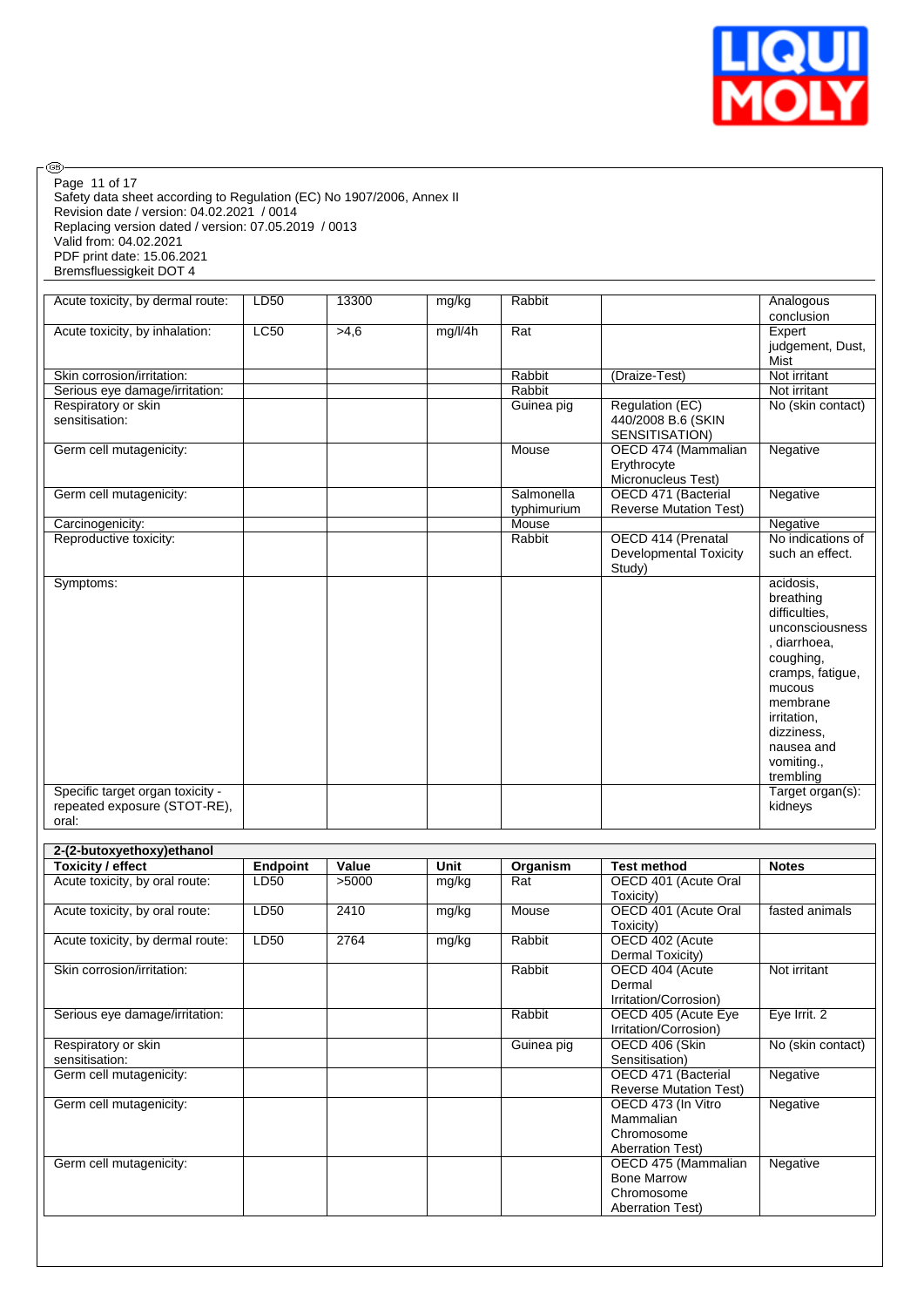

| Page 11 of 17<br>Safety data sheet according to Regulation (EC) No 1907/2006, Annex II<br>Revision date / version: 04.02.2021 / 0014<br>Replacing version dated / version: 07.05.2019 / 0013<br>Valid from: 04.02.2021<br>PDF print date: 15.06.2021<br>Bremsfluessigkeit DOT 4 |                                 |                        |                        |                          |                                                                                              |                                                                                                                                                                                                                                                                          |
|---------------------------------------------------------------------------------------------------------------------------------------------------------------------------------------------------------------------------------------------------------------------------------|---------------------------------|------------------------|------------------------|--------------------------|----------------------------------------------------------------------------------------------|--------------------------------------------------------------------------------------------------------------------------------------------------------------------------------------------------------------------------------------------------------------------------|
| Acute toxicity, by dermal route:                                                                                                                                                                                                                                                | LD <sub>50</sub>                | 13300                  | mg/kg                  | Rabbit                   |                                                                                              | Analogous<br>conclusion                                                                                                                                                                                                                                                  |
| Acute toxicity, by inhalation:                                                                                                                                                                                                                                                  | LC50                            | >4,6                   | mg/l/4h                | Rat                      |                                                                                              | Expert<br>judgement, Dust,<br>Mist                                                                                                                                                                                                                                       |
| Skin corrosion/irritation:                                                                                                                                                                                                                                                      |                                 |                        |                        | Rabbit                   | (Draize-Test)                                                                                | Not irritant                                                                                                                                                                                                                                                             |
| Serious eye damage/irritation:                                                                                                                                                                                                                                                  |                                 |                        |                        | Rabbit                   |                                                                                              | Not irritant                                                                                                                                                                                                                                                             |
| Respiratory or skin                                                                                                                                                                                                                                                             |                                 |                        |                        | Guinea pig               | Regulation (EC)                                                                              | No (skin contact)                                                                                                                                                                                                                                                        |
| sensitisation:                                                                                                                                                                                                                                                                  |                                 |                        |                        |                          | 440/2008 B.6 (SKIN<br>SENSITISATION)                                                         |                                                                                                                                                                                                                                                                          |
| Germ cell mutagenicity:                                                                                                                                                                                                                                                         |                                 |                        |                        | Mouse                    | OECD 474 (Mammalian<br>Erythrocyte<br>Micronucleus Test)                                     | Negative                                                                                                                                                                                                                                                                 |
| Germ cell mutagenicity:                                                                                                                                                                                                                                                         |                                 |                        |                        | Salmonella               | OECD 471 (Bacterial                                                                          | Negative                                                                                                                                                                                                                                                                 |
| Carcinogenicity:                                                                                                                                                                                                                                                                |                                 |                        |                        | typhimurium<br>Mouse     | <b>Reverse Mutation Test)</b>                                                                | Negative                                                                                                                                                                                                                                                                 |
| Reproductive toxicity:                                                                                                                                                                                                                                                          |                                 |                        |                        | Rabbit                   | OECD 414 (Prenatal<br><b>Developmental Toxicity</b>                                          | No indications of<br>such an effect.                                                                                                                                                                                                                                     |
| Symptoms:<br>Specific target organ toxicity -<br>repeated exposure (STOT-RE),<br>oral:<br>2-(2-butoxyethoxy) ethanol<br><b>Toxicity / effect</b><br>Acute toxicity, by oral route:<br>Acute toxicity, by oral route:                                                            | <b>Endpoint</b><br>LD50<br>LD50 | Value<br>>5000<br>2410 | Unit<br>mg/kg<br>mg/kg | Organism<br>Rat<br>Mouse | <b>Test method</b><br>OECD 401 (Acute Oral<br>Toxicity)<br>OECD 401 (Acute Oral<br>Toxicity) | acidosis,<br>breathing<br>difficulties.<br>unconsciousness<br>, diarrhoea,<br>coughing,<br>cramps, fatigue,<br>mucous<br>membrane<br>irritation,<br>dizziness,<br>nausea and<br>vomiting.,<br>trembling<br>Target organ(s):<br>kidneys<br><b>Notes</b><br>fasted animals |
| Acute toxicity, by dermal route:                                                                                                                                                                                                                                                | LD50                            | 2764                   | mg/kg                  | Rabbit                   | OECD 402 (Acute<br>Dermal Toxicity)                                                          |                                                                                                                                                                                                                                                                          |
| Skin corrosion/irritation:                                                                                                                                                                                                                                                      |                                 |                        |                        | Rabbit                   | OECD 404 (Acute<br>Dermal<br>Irritation/Corrosion)                                           | Not irritant                                                                                                                                                                                                                                                             |
| Serious eye damage/irritation:                                                                                                                                                                                                                                                  |                                 |                        |                        | Rabbit                   | OECD 405 (Acute Eye<br>Irritation/Corrosion)                                                 | Eye Irrit. 2                                                                                                                                                                                                                                                             |
| Respiratory or skin<br>sensitisation:                                                                                                                                                                                                                                           |                                 |                        |                        | Guinea pig               | OECD 406 (Skin<br>Sensitisation)                                                             | No (skin contact)                                                                                                                                                                                                                                                        |
| Germ cell mutagenicity:                                                                                                                                                                                                                                                         |                                 |                        |                        |                          | OECD 471 (Bacterial<br><b>Reverse Mutation Test)</b>                                         | Negative                                                                                                                                                                                                                                                                 |
| Germ cell mutagenicity:                                                                                                                                                                                                                                                         |                                 |                        |                        |                          | OECD 473 (In Vitro<br>Mammalian<br>Chromosome<br><b>Aberration Test)</b>                     | Negative                                                                                                                                                                                                                                                                 |
| Germ cell mutagenicity:                                                                                                                                                                                                                                                         |                                 |                        |                        |                          | OECD 475 (Mammalian<br><b>Bone Marrow</b><br>Chromosome<br><b>Aberration Test)</b>           | Negative                                                                                                                                                                                                                                                                 |

ര<br>ഭ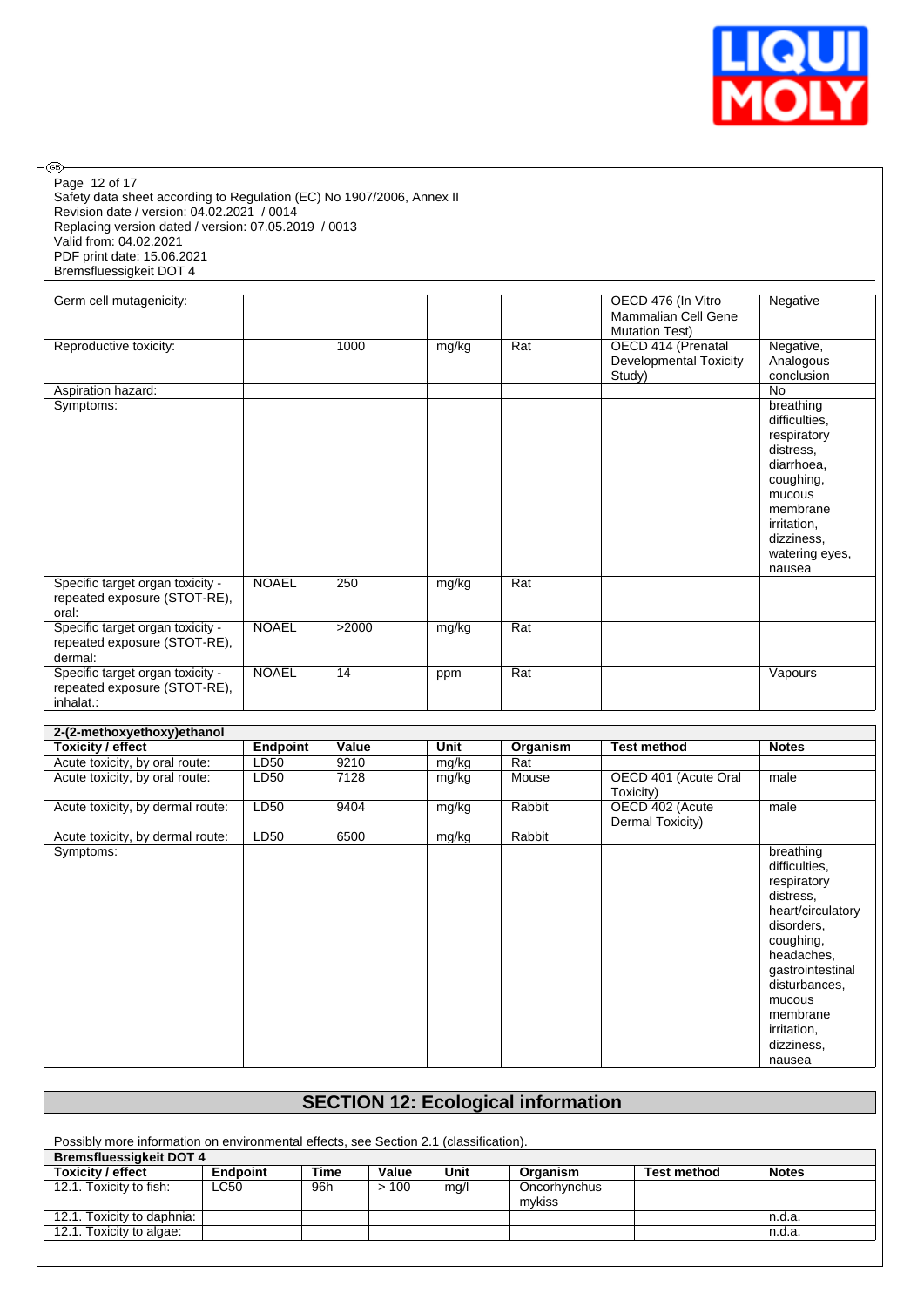

Safety data sheet according to Regulation (EC) No 1907/2006, Annex II Revision date / version: 04.02.2021 / 0014 Replacing version dated / version: 07.05.2019 / 0013 Valid from: 04.02.2021 PDF print date: 15.06.2021 Bremsfluessigkeit DOT 4 Page 12 of 17

 $\circledcirc$ 

| Germ cell mutagenicity:                                                       |              |       |       |     | OECD 476 (In Vitro<br>Mammalian Cell Gene<br><b>Mutation Test)</b> | Negative                                                                                                                                                         |
|-------------------------------------------------------------------------------|--------------|-------|-------|-----|--------------------------------------------------------------------|------------------------------------------------------------------------------------------------------------------------------------------------------------------|
| Reproductive toxicity:                                                        |              | 1000  | mg/kg | Rat | OECD 414 (Prenatal<br>Developmental Toxicity<br>Study)             | Negative,<br>Analogous<br>conclusion                                                                                                                             |
| Aspiration hazard:                                                            |              |       |       |     |                                                                    | <b>No</b>                                                                                                                                                        |
| Symptoms:                                                                     |              |       |       |     |                                                                    | breathing<br>difficulties.<br>respiratory<br>distress.<br>diarrhoea,<br>coughing,<br>mucous<br>membrane<br>irritation,<br>dizziness,<br>watering eyes,<br>nausea |
| Specific target organ toxicity -<br>repeated exposure (STOT-RE),<br>oral:     | <b>NOAEL</b> | 250   | mg/kg | Rat |                                                                    |                                                                                                                                                                  |
| Specific target organ toxicity -<br>repeated exposure (STOT-RE),<br>dermal:   | <b>NOAEL</b> | >2000 | mg/kg | Rat |                                                                    |                                                                                                                                                                  |
| Specific target organ toxicity -<br>repeated exposure (STOT-RE),<br>inhalat.: | <b>NOAEL</b> | 14    | ppm   | Rat |                                                                    | Vapours                                                                                                                                                          |

| 2-(2-methoxyethoxy)ethanol       |          |       |       |          |                      |                   |
|----------------------------------|----------|-------|-------|----------|----------------------|-------------------|
| Toxicity / effect                | Endpoint | Value | Unit  | Organism | <b>Test method</b>   | <b>Notes</b>      |
| Acute toxicity, by oral route:   | LD50     | 9210  | mg/kg | Rat      |                      |                   |
| Acute toxicity, by oral route:   | LD50     | 7128  | mg/kg | Mouse    | OECD 401 (Acute Oral | male              |
|                                  |          |       |       |          | Toxicity)            |                   |
| Acute toxicity, by dermal route: | LD50     | 9404  | mg/kg | Rabbit   | OECD 402 (Acute      | male              |
|                                  |          |       |       |          | Dermal Toxicity)     |                   |
| Acute toxicity, by dermal route: | LD50     | 6500  | mg/kg | Rabbit   |                      |                   |
| Symptoms:                        |          |       |       |          |                      | breathing         |
|                                  |          |       |       |          |                      | difficulties.     |
|                                  |          |       |       |          |                      | respiratory       |
|                                  |          |       |       |          |                      | distress.         |
|                                  |          |       |       |          |                      | heart/circulatory |
|                                  |          |       |       |          |                      | disorders.        |
|                                  |          |       |       |          |                      | coughing,         |
|                                  |          |       |       |          |                      | headaches,        |
|                                  |          |       |       |          |                      | gastrointestinal  |
|                                  |          |       |       |          |                      | disturbances,     |
|                                  |          |       |       |          |                      | mucous            |
|                                  |          |       |       |          |                      | membrane          |
|                                  |          |       |       |          |                      | irritation,       |
|                                  |          |       |       |          |                      | dizziness,        |
|                                  |          |       |       |          |                      | nausea            |

# **SECTION 12: Ecological information**

Possibly more information on environmental effects, see Section 2.1 (classification). **Bremsfluessigkeit DOT 4**

| <b>Toxicity / effect</b>   | <b>Endpoint</b> | Time | Value | Unit | Organism     | <b>Test method</b> | <b>Notes</b> |
|----------------------------|-----------------|------|-------|------|--------------|--------------------|--------------|
| 12.1. Toxicity to fish:    | LC50            | 96h  | >100  | mg/l | Oncorhynchus |                    |              |
|                            |                 |      |       |      | mykiss       |                    |              |
| 12.1. Toxicity to daphnia: |                 |      |       |      |              |                    | n.d.a.       |
| 12.1. Toxicity to algae:   |                 |      |       |      |              |                    | n.d.a.       |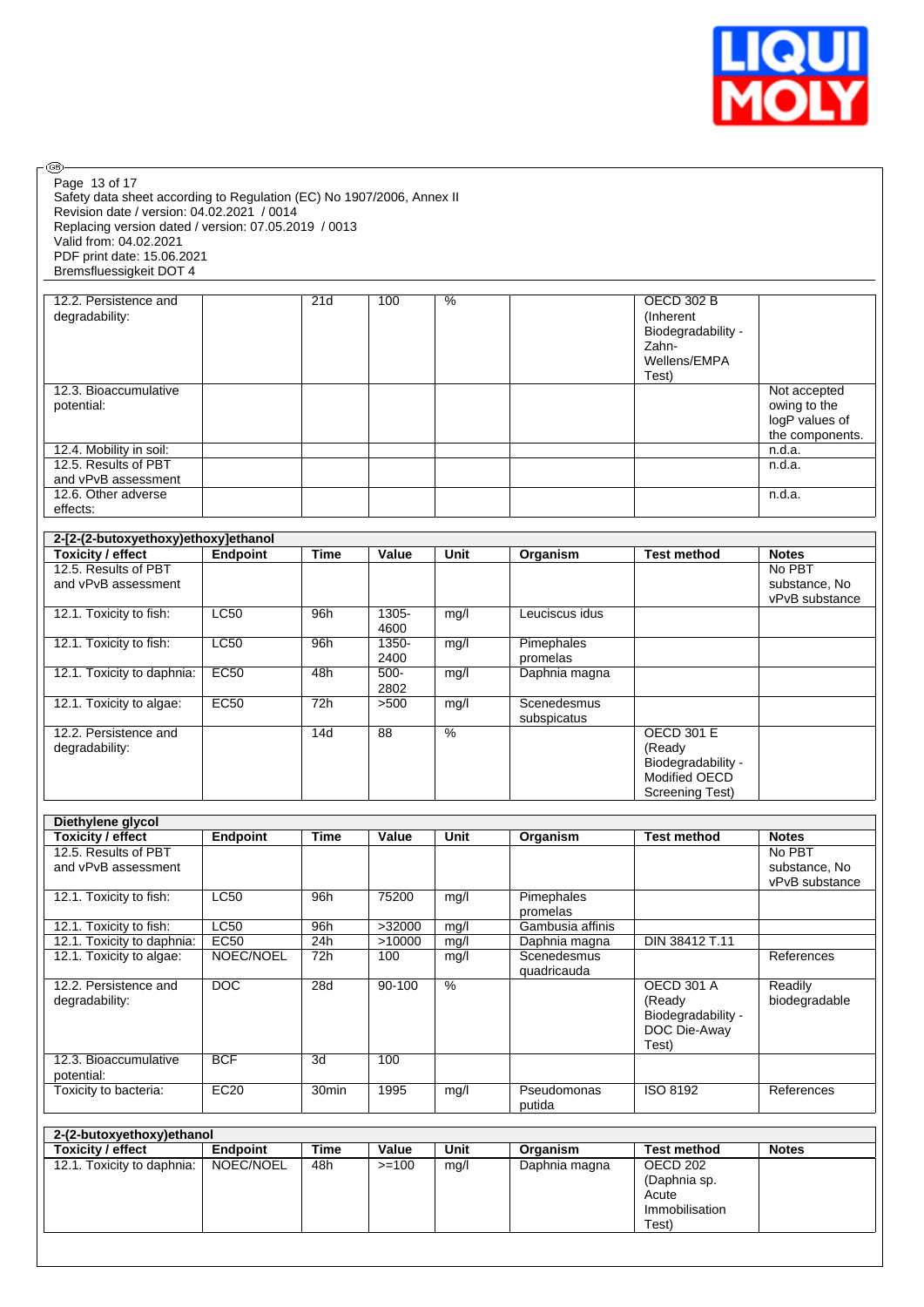

| Page 13 of 17<br>Safety data sheet according to Regulation (EC) No 1907/2006, Annex II<br>Revision date / version: 04.02.2021 / 0014<br>Replacing version dated / version: 07.05.2019 / 0013<br>Valid from: 04.02.2021<br>PDF print date: 15.06.2021 |                   |             |                  |                          |                                             |                                                                                         |                                                                   |
|------------------------------------------------------------------------------------------------------------------------------------------------------------------------------------------------------------------------------------------------------|-------------------|-------------|------------------|--------------------------|---------------------------------------------|-----------------------------------------------------------------------------------------|-------------------------------------------------------------------|
| Bremsfluessigkeit DOT 4                                                                                                                                                                                                                              |                   |             |                  |                          |                                             |                                                                                         |                                                                   |
| 12.2. Persistence and<br>degradability:                                                                                                                                                                                                              |                   | 21d         | 100              | %                        |                                             | <b>OECD 302 B</b><br>(Inherent)<br>Biodegradability -<br>Zahn-<br>Wellens/EMPA<br>Test) |                                                                   |
| 12.3. Bioaccumulative<br>potential:                                                                                                                                                                                                                  |                   |             |                  |                          |                                             |                                                                                         | Not accepted<br>owing to the<br>logP values of<br>the components. |
| 12.4. Mobility in soil:                                                                                                                                                                                                                              |                   |             |                  |                          |                                             |                                                                                         | n.d.a.                                                            |
| 12.5. Results of PBT                                                                                                                                                                                                                                 |                   |             |                  |                          |                                             |                                                                                         | n.d.a.                                                            |
| and vPvB assessment<br>12.6. Other adverse<br>effects:                                                                                                                                                                                               |                   |             |                  |                          |                                             |                                                                                         | n.d.a.                                                            |
| 2-[2-(2-butoxyethoxy)ethoxy]ethanol                                                                                                                                                                                                                  |                   |             |                  |                          |                                             |                                                                                         |                                                                   |
| <b>Toxicity / effect</b>                                                                                                                                                                                                                             | Endpoint          | <b>Time</b> | Value            | Unit                     | Organism                                    | <b>Test method</b>                                                                      | <b>Notes</b>                                                      |
| 12.5. Results of PBT<br>and vPvB assessment                                                                                                                                                                                                          |                   |             |                  |                          |                                             |                                                                                         | No PBT<br>substance, No<br>vPvB substance                         |
| 12.1. Toxicity to fish:                                                                                                                                                                                                                              | <b>LC50</b>       | 96h         | $1305 -$<br>4600 | mg/l                     | Leuciscus idus                              |                                                                                         |                                                                   |
| 12.1. Toxicity to fish:                                                                                                                                                                                                                              | LC50              | 96h         | $1350 -$<br>2400 | mg/l                     | Pimephales<br>promelas                      |                                                                                         |                                                                   |
| 12.1. Toxicity to daphnia:                                                                                                                                                                                                                           | <b>EC50</b>       | 48h         | $500 -$<br>2802  | mg/l                     | Daphnia magna                               |                                                                                         |                                                                   |
| 12.1. Toxicity to algae:                                                                                                                                                                                                                             | <b>EC50</b>       | 72h         | >500             | mg/l                     | Scenedesmus<br>subspicatus                  |                                                                                         |                                                                   |
| 12.2. Persistence and<br>degradability:                                                                                                                                                                                                              |                   | 14d         | $\overline{88}$  | $\overline{\frac{9}{6}}$ |                                             | <b>OECD 301 E</b><br>(Ready<br>Biodegradability -<br>Modified OECD<br>Screening Test)   |                                                                   |
| Diethylene glycol                                                                                                                                                                                                                                    |                   |             |                  |                          |                                             |                                                                                         |                                                                   |
| <b>Toxicity / effect</b>                                                                                                                                                                                                                             | Endpoint          | <b>Time</b> | Value            | Unit                     | Organism                                    | <b>Test method</b>                                                                      | <b>Notes</b>                                                      |
| 12.5. Results of PBT<br>and vPvB assessment                                                                                                                                                                                                          |                   |             |                  |                          |                                             |                                                                                         | No PBT<br>substance, No<br>vPvB substance                         |
| 12.1. Toxicity to fish:                                                                                                                                                                                                                              | LC50              | 96h         | 75200            | mg/l                     | Pimephales<br>promelas                      |                                                                                         |                                                                   |
| 12.1. Toxicity to fish:                                                                                                                                                                                                                              | LC50              | 96h         | >32000           | mg/l                     | Gambusia affinis                            |                                                                                         |                                                                   |
| 12.1. Toxicity to daphnia:<br>12.1. Toxicity to algae:                                                                                                                                                                                               | EC50<br>NOEC/NOEL | 24h<br>72h  | >10000<br>100    | mg/l<br>mg/l             | Daphnia magna<br>Scenedesmus<br>quadricauda | DIN 38412 T.11                                                                          | References                                                        |
| 12.2. Persistence and<br>degradability:                                                                                                                                                                                                              | $\overline{DOC}$  | 28d         | $90 - 100$       | $\overline{\frac{9}{6}}$ |                                             | <b>OECD 301 A</b><br>(Ready<br>Biodegradability -<br>DOC Die-Away<br>Test)              | Readily<br>biodegradable                                          |
| 12.3. Bioaccumulative<br>potential:                                                                                                                                                                                                                  | <b>BCF</b>        | 3d          | 100              |                          |                                             |                                                                                         |                                                                   |
| Toxicity to bacteria:                                                                                                                                                                                                                                | EC20              | 30min       | 1995             | mg/l                     | Pseudomonas<br>putida                       | ISO 8192                                                                                | References                                                        |
|                                                                                                                                                                                                                                                      |                   |             |                  |                          |                                             |                                                                                         |                                                                   |
| 2-(2-butoxyethoxy)ethanol<br><b>Toxicity / effect</b>                                                                                                                                                                                                | Endpoint          | <b>Time</b> | Value            | Unit                     | Organism                                    | <b>Test method</b>                                                                      | <b>Notes</b>                                                      |
| 12.1. Toxicity to daphnia:                                                                                                                                                                                                                           | NOEC/NOEL         | 48h         | $>=100$          | mg/l                     | Daphnia magna                               | <b>OECD 202</b>                                                                         |                                                                   |
|                                                                                                                                                                                                                                                      |                   |             |                  |                          |                                             | (Daphnia sp.<br>Acute<br>Immobilisation                                                 |                                                                   |

œ

Test)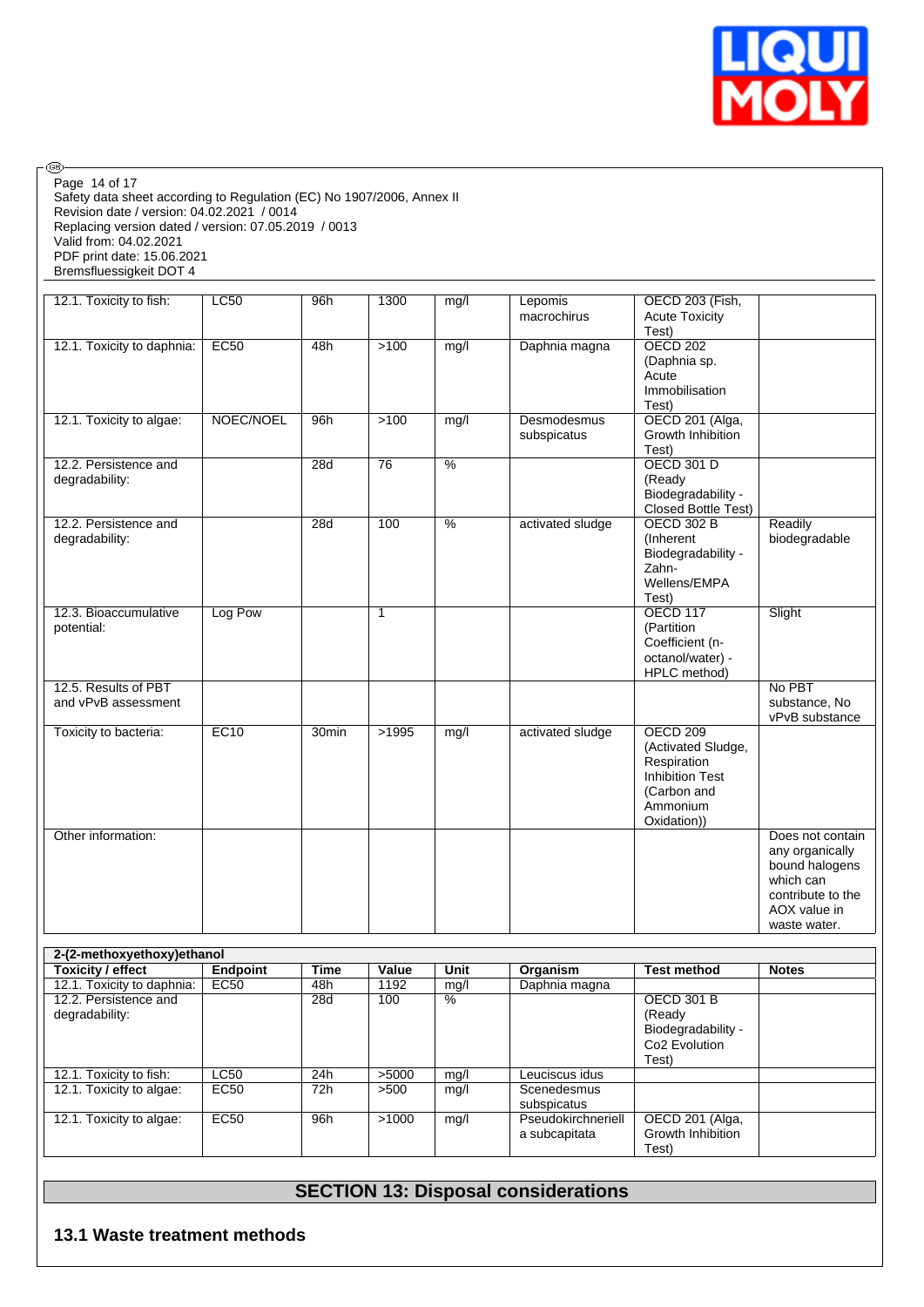

Safety data sheet according to Regulation (EC) No 1907/2006, Annex II Revision date / version: 04.02.2021 / 0014 Replacing version dated / version: 07.05.2019 / 0013 Valid from: 04.02.2021 PDF print date: 15.06.2021 Bremsfluessigkeit DOT 4 Page 14 of 17

 $\circledcirc$ 

| 12.1. Toxicity to fish:                     | LC50      | 96h   | 1300            | mg/l                     | Lepomis<br>macrochirus     | OECD 203 (Fish,<br><b>Acute Toxicity</b><br>Test)                                                                        |                                                                                                                         |
|---------------------------------------------|-----------|-------|-----------------|--------------------------|----------------------------|--------------------------------------------------------------------------------------------------------------------------|-------------------------------------------------------------------------------------------------------------------------|
| 12.1. Toxicity to daphnia:                  | EC50      | 48h   | $>100$          | mg/l                     | Daphnia magna              | <b>OECD 202</b><br>(Daphnia sp.<br>Acute<br>Immobilisation<br>Test)                                                      |                                                                                                                         |
| 12.1. Toxicity to algae:                    | NOEC/NOEL | 96h   | $>100$          | mg/l                     | Desmodesmus<br>subspicatus | OECD 201 (Alga,<br>Growth Inhibition<br>Test)                                                                            |                                                                                                                         |
| 12.2. Persistence and<br>degradability:     |           | 28d   | $\overline{76}$ | $\overline{\frac{9}{6}}$ |                            | <b>OECD 301 D</b><br>(Ready<br>Biodegradability -<br>Closed Bottle Test)                                                 |                                                                                                                         |
| 12.2. Persistence and<br>degradability:     |           | 28d   | 100             | $\frac{0}{6}$            | activated sludge           | <b>OECD 302 B</b><br>(Inherent<br>Biodegradability -<br>Zahn-<br>Wellens/EMPA<br>Test)                                   | Readily<br>biodegradable                                                                                                |
| 12.3. Bioaccumulative<br>potential:         | Log Pow   |       | $\mathbf{1}$    |                          |                            | <b>OECD 117</b><br>(Partition<br>Coefficient (n-<br>octanol/water) -<br>HPLC method)                                     | Slight                                                                                                                  |
| 12.5. Results of PBT<br>and vPvB assessment |           |       |                 |                          |                            |                                                                                                                          | No PBT<br>substance, No<br>vPvB substance                                                                               |
| Toxicity to bacteria:                       | EC10      | 30min | >1995           | mg/l                     | activated sludge           | <b>OECD 209</b><br>(Activated Sludge,<br>Respiration<br><b>Inhibition Test</b><br>(Carbon and<br>Ammonium<br>Oxidation)) |                                                                                                                         |
| Other information:                          |           |       |                 |                          |                            |                                                                                                                          | Does not contain<br>any organically<br>bound halogens<br>which can<br>contribute to the<br>AOX value in<br>waste water. |

| 2-(2-methoxyethoxy) ethanol |                 |      |       |      |                    |                           |              |
|-----------------------------|-----------------|------|-------|------|--------------------|---------------------------|--------------|
| Toxicity / effect           | <b>Endpoint</b> | Time | Value | Unit | Organism           | <b>Test method</b>        | <b>Notes</b> |
| 12.1. Toxicity to daphnia:  | EC50            | 48h  | 1192  | mg/l | Daphnia magna      |                           |              |
| 12.2. Persistence and       |                 | 28d  | 100   | $\%$ |                    | <b>OECD 301 B</b>         |              |
| degradability:              |                 |      |       |      |                    | (Ready                    |              |
|                             |                 |      |       |      |                    | Biodegradability -        |              |
|                             |                 |      |       |      |                    | Co <sub>2</sub> Evolution |              |
|                             |                 |      |       |      |                    | Test)                     |              |
| 12.1. Toxicity to fish:     | <b>LC50</b>     | 24h  | >5000 | mq/l | Leuciscus idus     |                           |              |
| 12.1. Toxicity to algae:    | EC50            | 72h  | >500  | mq/l | Scenedesmus        |                           |              |
|                             |                 |      |       |      | subspicatus        |                           |              |
| 12.1. Toxicity to algae:    | EC50            | 96h  | >1000 | mq/l | Pseudokirchneriell | OECD 201 (Alga,           |              |
|                             |                 |      |       |      | a subcapitata      | Growth Inhibition         |              |
|                             |                 |      |       |      |                    | Test)                     |              |

# **SECTION 13: Disposal considerations**

## **13.1 Waste treatment methods**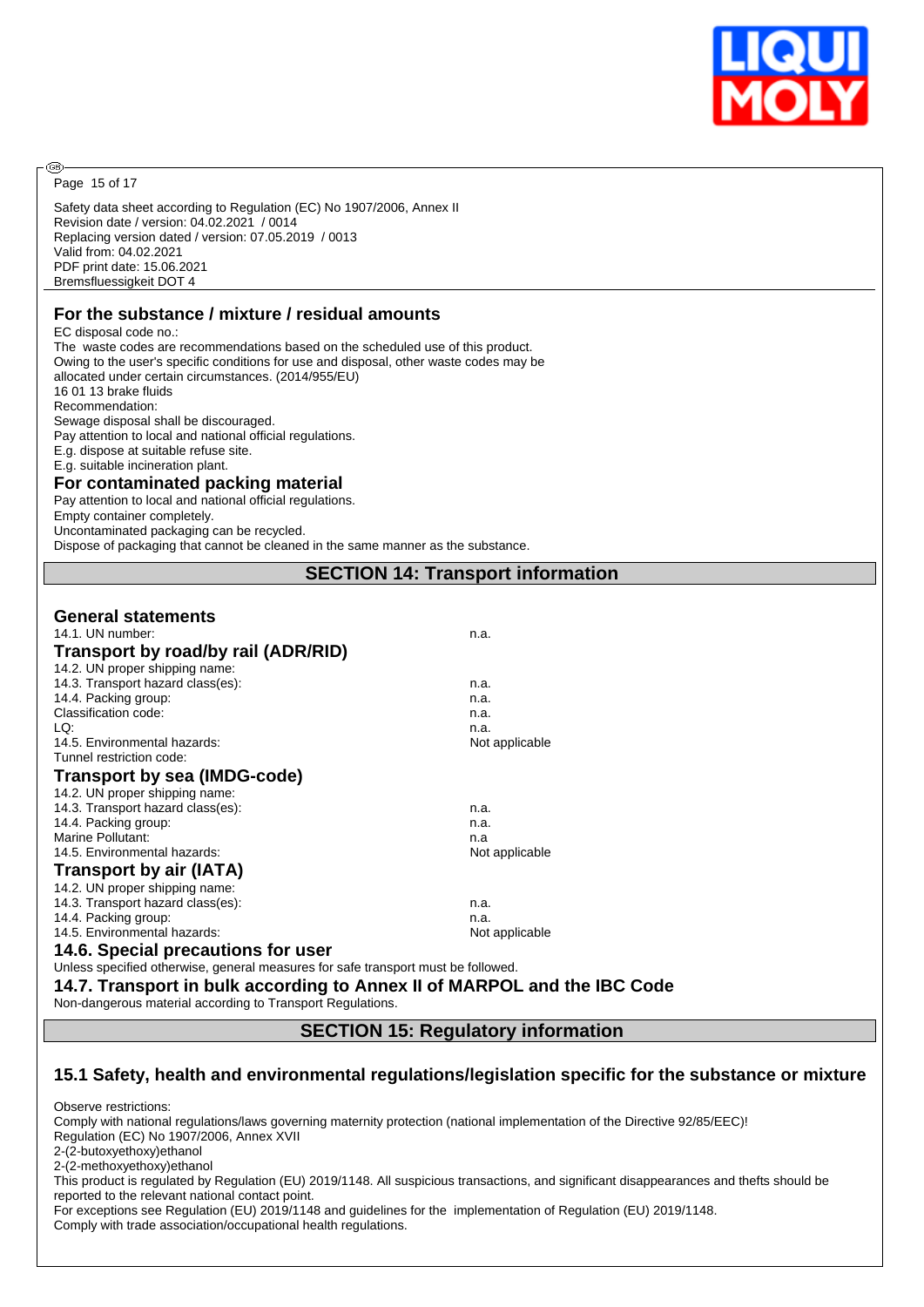

Page 15 of 17

@

Safety data sheet according to Regulation (EC) No 1907/2006, Annex II Revision date / version: 04.02.2021 / 0014 Replacing version dated / version: 07.05.2019 / 0013 Valid from: 04.02.2021 PDF print date: 15.06.2021 Bremsfluessigkeit DOT 4

# **For the substance / mixture / residual amounts**

EC disposal code no.: The waste codes are recommendations based on the scheduled use of this product. Owing to the user's specific conditions for use and disposal, other waste codes may be allocated under certain circumstances. (2014/955/EU) 16 01 13 brake fluids Recommendation: Sewage disposal shall be discouraged. Pay attention to local and national official regulations. E.g. dispose at suitable refuse site. E.g. suitable incineration plant.

# **For contaminated packing material**

Pay attention to local and national official regulations.

Empty container completely.

Uncontaminated packaging can be recycled.

Dispose of packaging that cannot be cleaned in the same manner as the substance.

# **SECTION 14: Transport information**

#### **General statements**

| 14.1. UN number:                    | n.a.           |
|-------------------------------------|----------------|
| Transport by road/by rail (ADR/RID) |                |
| 14.2. UN proper shipping name:      |                |
| 14.3. Transport hazard class(es):   | n.a.           |
| 14.4. Packing group:                | n.a.           |
| Classification code:                | n.a.           |
| LQ:                                 | n.a.           |
| 14.5. Environmental hazards:        | Not applicable |
| Tunnel restriction code:            |                |
| Transport by sea (IMDG-code)        |                |
| 14.2. UN proper shipping name:      |                |
| 14.3. Transport hazard class(es):   | n.a.           |
| 14.4. Packing group:                | n.a.           |
| Marine Pollutant:                   | n.a            |
| 14.5. Environmental hazards:        | Not applicable |
| <b>Transport by air (IATA)</b>      |                |
| 14.2. UN proper shipping name:      |                |
| 14.3. Transport hazard class(es):   | n.a.           |
| 14.4. Packing group:                | n.a.           |
| 14.5. Environmental hazards:        | Not applicable |
| 14 6 Special procautions for user   |                |

**14.6. Special precautions for user**

Unless specified otherwise, general measures for safe transport must be followed.

**14.7. Transport in bulk according to Annex II of MARPOL and the IBC Code**

Non-dangerous material according to Transport Regulations.

**SECTION 15: Regulatory information**

#### **15.1 Safety, health and environmental regulations/legislation specific for the substance or mixture**

Observe restrictions:

Comply with national regulations/laws governing maternity protection (national implementation of the Directive 92/85/EEC)! Regulation (EC) No 1907/2006, Annex XVII 2-(2-butoxyethoxy)ethanol 2-(2-methoxyethoxy)ethanol This product is regulated by Regulation (EU) 2019/1148. All suspicious transactions, and significant disappearances and thefts should be reported to the relevant national contact point. For exceptions see Regulation (EU) 2019/1148 and guidelines for the implementation of Regulation (EU) 2019/1148. Comply with trade association/occupational health regulations.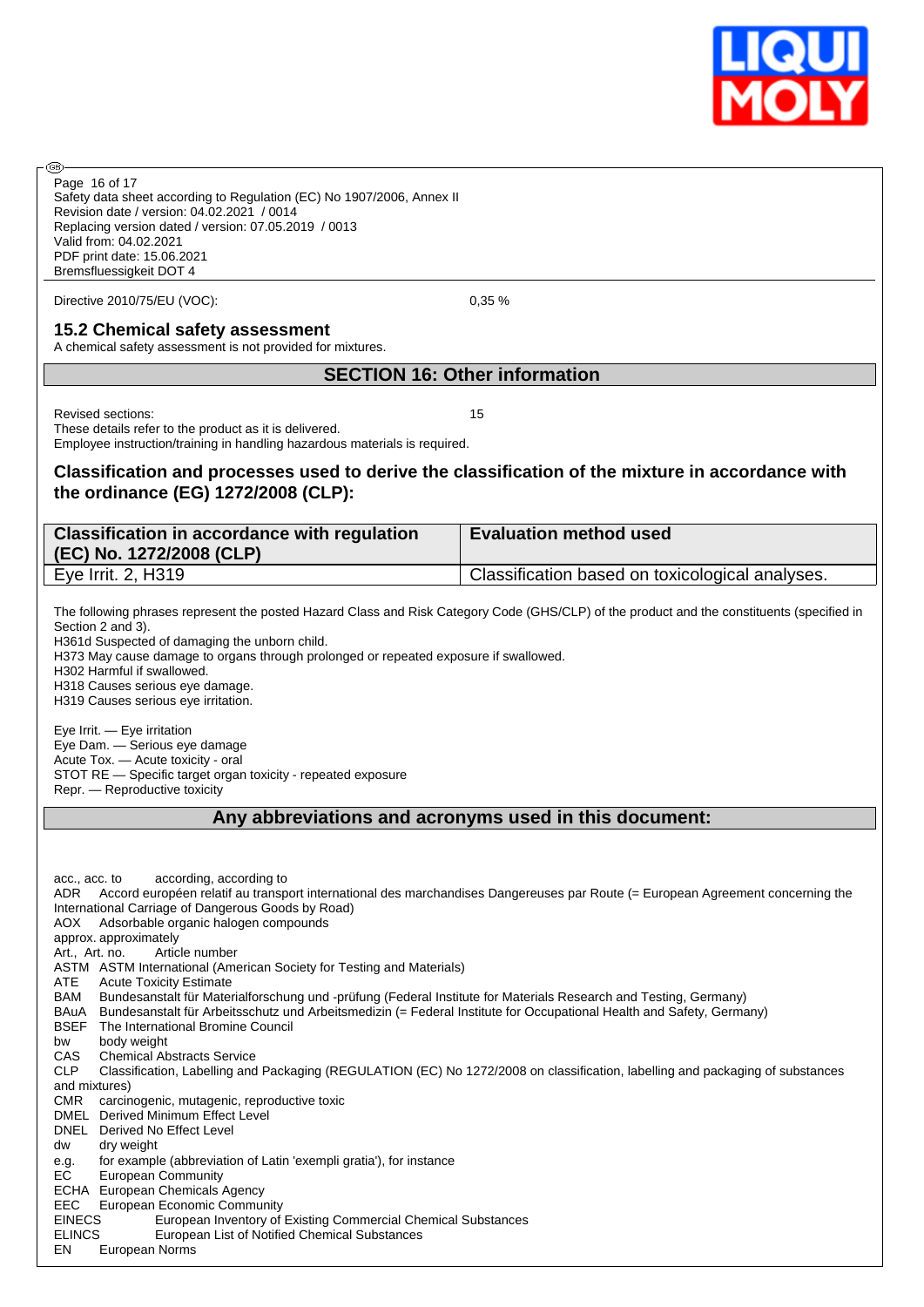

Safety data sheet according to Regulation (EC) No 1907/2006, Annex II Revision date / version: 04.02.2021 / 0014 Replacing version dated / version: 07.05.2019 / 0013 Valid from: 04.02.2021 Page 16 of 17

PDF print date: 15.06.2021 Bremsfluessigkeit DOT 4

Directive 2010/75/EU (VOC): 0,35 %

# **15.2 Chemical safety assessment**

A chemical safety assessment is not provided for mixtures.

### **SECTION 16: Other information**

Revised sections: 15

രി

These details refer to the product as it is delivered. Employee instruction/training in handling hazardous materials is required.

# **Classification and processes used to derive the classification of the mixture in accordance with the ordinance (EG) 1272/2008 (CLP):**

| <b>Classification in accordance with regulation</b><br>(EC) No. 1272/2008 (CLP) | <b>Evaluation method used</b>                   |
|---------------------------------------------------------------------------------|-------------------------------------------------|
| Eye Irrit. 2, H319                                                              | Classification based on toxicological analyses. |

The following phrases represent the posted Hazard Class and Risk Category Code (GHS/CLP) of the product and the constituents (specified in Section 2 and 3).

H361d Suspected of damaging the unborn child.

H373 May cause damage to organs through prolonged or repeated exposure if swallowed.

H302 Harmful if swallowed.

H318 Causes serious eye damage. H319 Causes serious eye irritation.

Eye Irrit. — Eye irritation Eye Dam. — Serious eye damage Acute Tox. — Acute toxicity - oral STOT RE — Specific target organ toxicity - repeated exposure Repr. — Reproductive toxicity

#### **Any abbreviations and acronyms used in this document:**

acc., acc. to according, according to ADR Accord européen relatif au transport international des marchandises Dangereuses par Route (= European Agreement concerning the International Carriage of Dangerous Goods by Road) AOX Adsorbable organic halogen compounds approx. approximately Art., Art. no. Article number ASTM ASTM International (American Society for Testing and Materials) ATE Acute Toxicity Estimate BAM Bundesanstalt für Materialforschung und -prüfung (Federal Institute for Materials Research and Testing, Germany) BAuA Bundesanstalt für Arbeitsschutz und Arbeitsmedizin (= Federal Institute for Occupational Health and Safety, Germany) BSEF The International Bromine Council bw body weight CAS Chemical Abstracts Service CLP Classification, Labelling and Packaging (REGULATION (EC) No 1272/2008 on classification, labelling and packaging of substances and mixtures) CMR carcinogenic, mutagenic, reproductive toxic DMEL Derived Minimum Effect Level DNEL Derived No Effect Level dw dry weight e.g. for example (abbreviation of Latin 'exempli gratia'), for instance EC European Community ECHA European Chemicals Agency EEC European Economic Community<br>EINECS European Inventory of EINECS European Inventory of Existing Commercial Chemical Substances<br>FLINCS European List of Notified Chemical Substances European List of Notified Chemical Substances EN European Norms